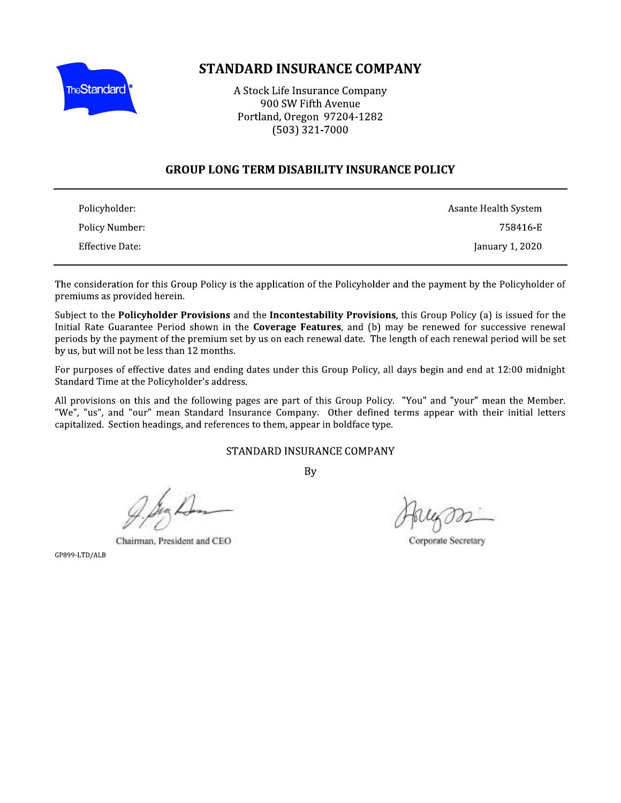

# STANDARD INSURANCE COMPANY

**STANDARD INSURANCE COMPAN**<br>
A Stock Life Insurance Company<br>
900 SW Fifth Avenue<br>
Portland, Oregon 97204-1282<br>
(503) 321-7000<br> **NUP LONG TERM DISABILITY INSURANCE** 

# GROUP LONG TERM DISABILITY INSURANCE POLICY

| Policyholder:   | Asante Health System |
|-----------------|----------------------|
| Policy Number:  | 758416-E             |
| Effective Date: | January 1, 2020      |

The consideration for this Group Policy is the application of the Policyholder and the payment by the Policyholder of premiums as provided herein.

Subject to the Policyholder Provisions and the Incontestability Provisions, this Group Policy (a) is issued for the Initial Rate Guarantee Period shown in the **Coverage Features**, and (b) may be renewed for successive renewal periods by the payment of the premium set by us on each renewal date. The length of each renewal period will be set The consideration for this Group Policy is the application of the Policyholder and the payment by the Policyholder of<br>
Subject to the **Policyholder Provisions** and the **Incontestability Provisions**, this Group Policy (a) i

Charman, President and CEO<br>GP899-LTD/ALB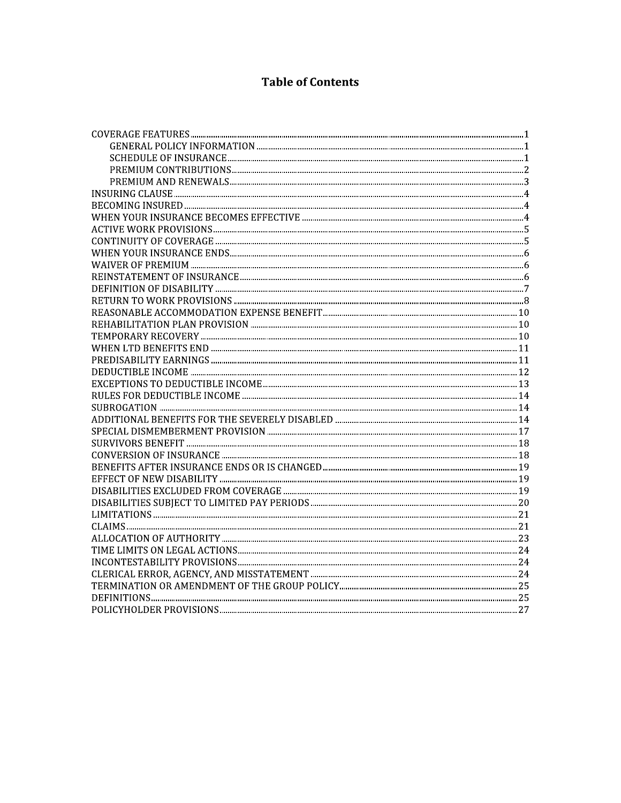# **Table of Contents**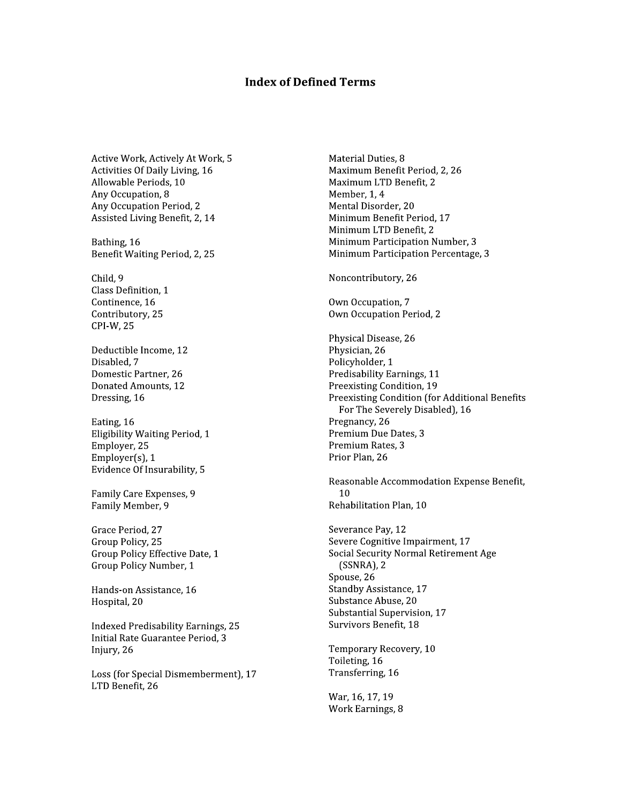### **Index of Defined Terms**

Active Work, Actively At Work, 5 Activities Of Daily Living, 16 Allowable Periods, 10 Any Occupation, 8 Any Occupation Period, 2 Assisted Living Benefit, 2, 14

Bathing, 16 Benefit Waiting Period, 2, 25

Child, 9 Class Definition, 1 Continence, 16 Contributory, 25 CPI-W, 25

Deductible Income, 12 Disabled. 7 Domestic Partner, 26 Donated Amounts, 12 Dressing, 16

Eating, 16 Eligibility Waiting Period, 1 Employer, 25 Employer $(s)$ , 1 Evidence Of Insurability, 5

Family Care Expenses, 9 Family Member, 9

Grace Period, 27 Group Policy, 25 Group Policy Effective Date, 1 Group Policy Number, 1

Hands-on Assistance, 16 Hospital, 20

**Indexed Predisability Earnings, 25** Initial Rate Guarantee Period, 3 Injury, 26

Loss (for Special Dismemberment), 17 LTD Benefit, 26

Material Duties, 8 Maximum Benefit Period, 2, 26 Maximum LTD Benefit. 2 Member, 1, 4 Mental Disorder, 20 Minimum Benefit Period, 17 Minimum LTD Benefit, 2 Minimum Participation Number, 3 Minimum Participation Percentage, 3

Noncontributory, 26

Own Occupation, 7 Own Occupation Period, 2

Physical Disease, 26 Physician, 26 Policyholder, 1 Predisability Earnings, 11 Preexisting Condition, 19 Preexisting Condition (for Additional Benefits For The Severely Disabled), 16 Pregnancy, 26 Premium Due Dates, 3 Premium Rates, 3 Prior Plan, 26

Reasonable Accommodation Expense Benefit,  $10$ Rehabilitation Plan, 10

Severance Pay, 12 Severe Cognitive Impairment, 17 Social Security Normal Retirement Age  $(SSNRA)$ , 2 Spouse, 26 Standby Assistance, 17 Substance Abuse, 20 Substantial Supervision, 17 Survivors Benefit, 18

Temporary Recovery, 10 Toileting, 16 Transferring, 16

War, 16, 17, 19 Work Earnings, 8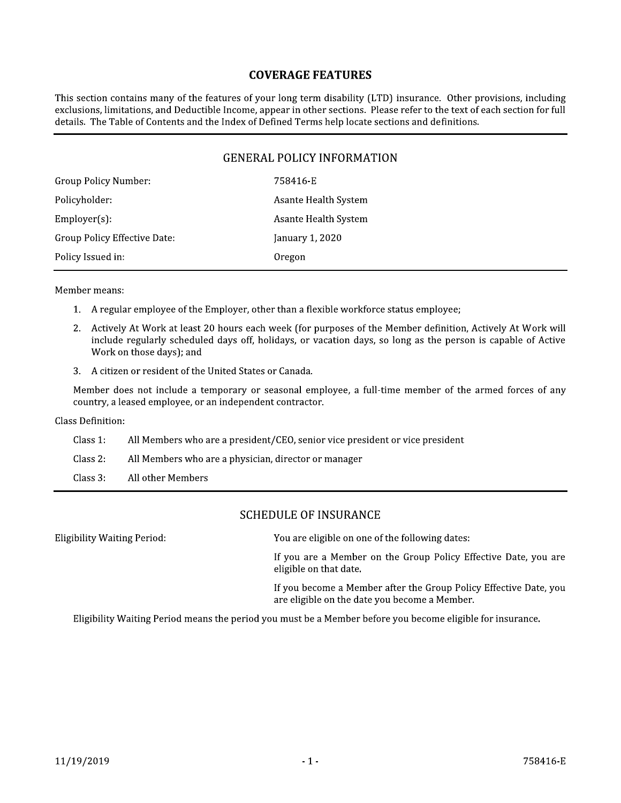# **COVERAGE FEATURES**

This section contains many of the features of your long term disability (LTD) insurance. Other provisions, including exclusions, limitations, and Deductible Income, appear in other sections. Please refer to the text of each section for full details. The Table of Contents and the Index of Defined Terms help locate sections and definitions.

# **GENERAL POLICY INFORMATION**

| Group Policy Number:         | 758416-E             |
|------------------------------|----------------------|
| Policyholder:                | Asante Health System |
| $Employer(s)$ :              | Asante Health System |
| Group Policy Effective Date: | January 1, 2020      |
| Policy Issued in:            | Oregon               |
|                              |                      |

Member means:

- 1. A regular employee of the Employer, other than a flexible workforce status employee;
- 2. Actively At Work at least 20 hours each week (for purposes of the Member definition, Actively At Work will include regularly scheduled days off, holidays, or vacation days, so long as the person is capable of Active Work on those days); and
- 3. A citizen or resident of the United States or Canada.

Member does not include a temporary or seasonal employee, a full-time member of the armed forces of any country, a leased employee, or an independent contractor.

Class Definition:

- Class 1: All Members who are a president/CEO, senior vice president or vice president
- Class 2: All Members who are a physician, director or manager

Class 3: All other Members

# **SCHEDULE OF INSURANCE**

**Eligibility Waiting Period:** You are eligible on one of the following dates: If you are a Member on the Group Policy Effective Date, you are eligible on that date. If you become a Member after the Group Policy Effective Date, you are eligible on the date you become a Member.

Eligibility Waiting Period means the period you must be a Member before you become eligible for insurance.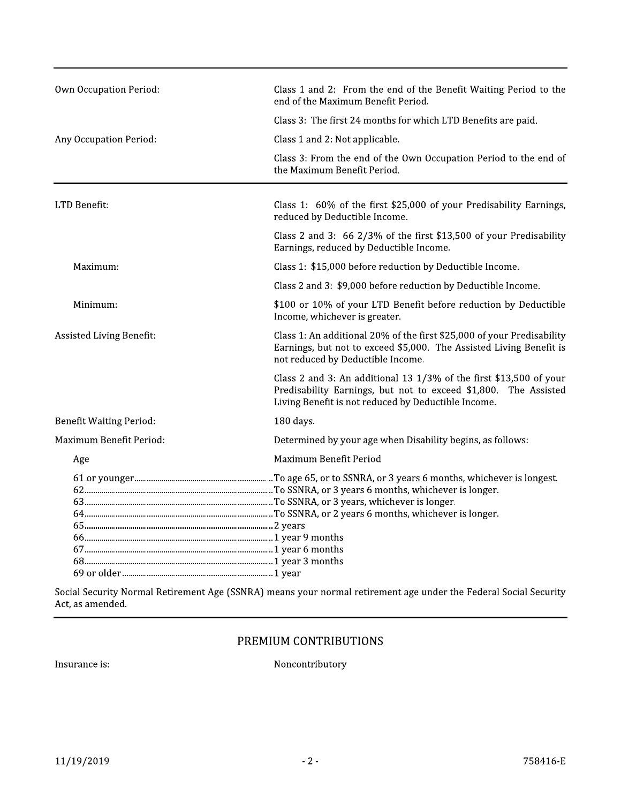| <b>Own Occupation Period:</b>  | Class 1 and 2: From the end of the Benefit Waiting Period to the<br>end of the Maximum Benefit Period.                                                                                             |
|--------------------------------|----------------------------------------------------------------------------------------------------------------------------------------------------------------------------------------------------|
|                                | Class 3: The first 24 months for which LTD Benefits are paid.                                                                                                                                      |
| Any Occupation Period:         | Class 1 and 2: Not applicable.                                                                                                                                                                     |
|                                | Class 3: From the end of the Own Occupation Period to the end of<br>the Maximum Benefit Period.                                                                                                    |
| LTD Benefit:                   | Class 1: 60% of the first \$25,000 of your Predisability Earnings,<br>reduced by Deductible Income.                                                                                                |
|                                | Class 2 and 3: $66\frac{2}{3}\%$ of the first \$13,500 of your Predisability<br>Earnings, reduced by Deductible Income.                                                                            |
| Maximum:                       | Class 1: \$15,000 before reduction by Deductible Income.                                                                                                                                           |
|                                | Class 2 and 3: \$9,000 before reduction by Deductible Income.                                                                                                                                      |
| Minimum:                       | \$100 or 10% of your LTD Benefit before reduction by Deductible<br>Income, whichever is greater.                                                                                                   |
| Assisted Living Benefit:       | Class 1: An additional 20% of the first \$25,000 of your Predisability<br>Earnings, but not to exceed \$5,000. The Assisted Living Benefit is<br>not reduced by Deductible Income.                 |
|                                | Class 2 and 3: An additional 13 $1/3\%$ of the first \$13,500 of your<br>Predisability Earnings, but not to exceed \$1,800.<br>The Assisted<br>Living Benefit is not reduced by Deductible Income. |
| <b>Benefit Waiting Period:</b> | 180 days.                                                                                                                                                                                          |
| Maximum Benefit Period:        | Determined by your age when Disability begins, as follows:                                                                                                                                         |
| Age                            | Maximum Benefit Period                                                                                                                                                                             |
|                                |                                                                                                                                                                                                    |
|                                |                                                                                                                                                                                                    |

Social Security Normal Retirement Age (SSNRA) means your normal retirement age under the Federal Social Security Act, as amended.

# PREMIUM CONTRIBUTIONS

Insurance is:

Noncontributory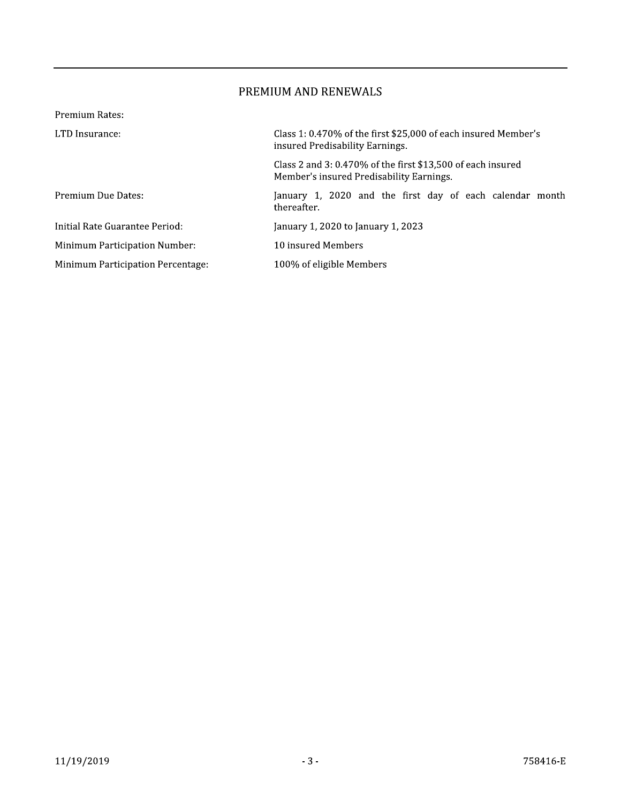# PREMIUM AND RENEWALS

| Premium Rates:                           |                                                                                                            |
|------------------------------------------|------------------------------------------------------------------------------------------------------------|
| LTD Insurance:                           | Class 1: 0.470% of the first \$25,000 of each insured Member's<br>insured Predisability Earnings.          |
|                                          | Class 2 and 3: $0.470\%$ of the first \$13,500 of each insured<br>Member's insured Predisability Earnings. |
| Premium Due Dates:                       | January 1, 2020 and the first day of each calendar month<br>thereafter.                                    |
| Initial Rate Guarantee Period:           | January 1, 2020 to January 1, 2023                                                                         |
| <b>Minimum Participation Number:</b>     | 10 insured Members                                                                                         |
| <b>Minimum Participation Percentage:</b> | 100% of eligible Members                                                                                   |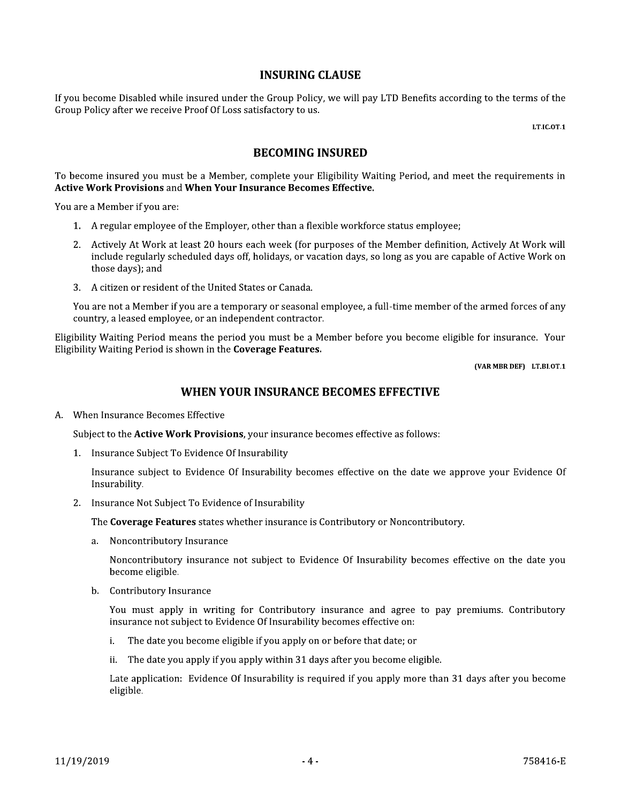## **INSURING CLAUSE**

If you become Disabled while insured under the Group Policy, we will pay LTD Benefits according to the terms of the Group Policy after we receive Proof Of Loss satisfactory to us.

LT.IC.OT.1

# **BECOMING INSURED**

To become insured you must be a Member, complete your Eligibility Waiting Period, and meet the requirements in **Active Work Provisions and When Your Insurance Becomes Effective.** 

You are a Member if you are:

- 1. A regular employee of the Employer, other than a flexible workforce status employee;
- 2. Actively At Work at least 20 hours each week (for purposes of the Member definition, Actively At Work will include regularly scheduled days off, holidays, or vacation days, so long as you are capable of Active Work on those days); and
- 3. A citizen or resident of the United States or Canada.

You are not a Member if you are a temporary or seasonal employee, a full-time member of the armed forces of any country, a leased employee, or an independent contractor.

Eligibility Waiting Period means the period you must be a Member before you become eligible for insurance. Your Eligibility Waiting Period is shown in the Coverage Features.

(VAR MBR DEF) LT.BI.OT.1

# WHEN YOUR INSURANCE BECOMES EFFECTIVE

A. When Insurance Becomes Effective

Subject to the Active Work Provisions, your insurance becomes effective as follows:

1. Insurance Subject To Evidence Of Insurability

Insurance subject to Evidence Of Insurability becomes effective on the date we approve your Evidence Of Insurability.

2. Insurance Not Subject To Evidence of Insurability

The Coverage Features states whether insurance is Contributory or Noncontributory.

a. Noncontributory Insurance

Noncontributory insurance not subject to Evidence Of Insurability becomes effective on the date you become eligible.

b. Contributory Insurance

You must apply in writing for Contributory insurance and agree to pay premiums. Contributory insurance not subject to Evidence Of Insurability becomes effective on:

- The date you become eligible if you apply on or before that date; or i.
- ii. The date you apply if you apply within 31 days after you become eligible.

Late application: Evidence Of Insurability is required if you apply more than 31 days after you become eligible.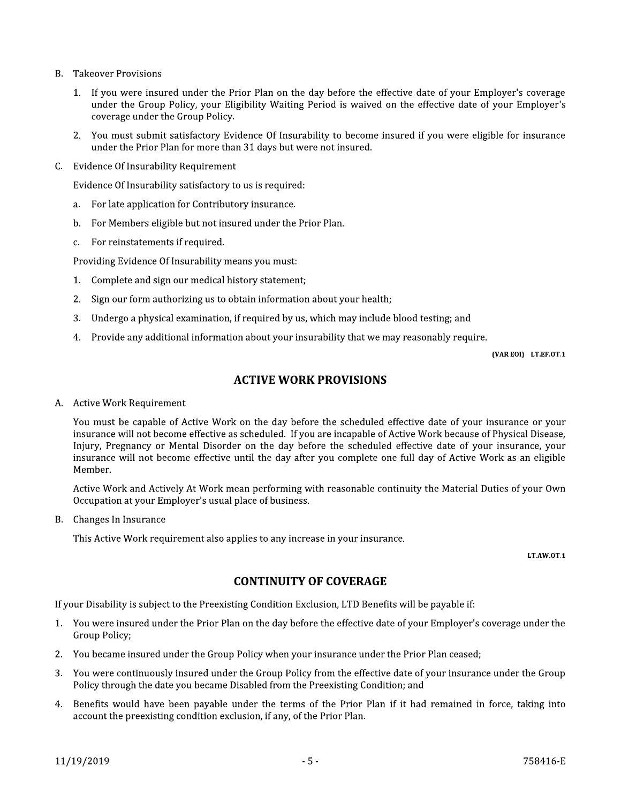- **B.** Takeover Provisions
	- 1. If you were insured under the Prior Plan on the day before the effective date of your Employer's coverage under the Group Policy, your Eligibility Waiting Period is waived on the effective date of your Employer's coverage under the Group Policy.
	- 2. You must submit satisfactory Evidence Of Insurability to become insured if you were eligible for insurance under the Prior Plan for more than 31 days but were not insured.
- C. Evidence Of Insurability Requirement

Evidence Of Insurability satisfactory to us is required:

- For late application for Contributory insurance. a.
- For Members eligible but not insured under the Prior Plan.  $\mathbf{b}$ .
- For reinstatements if required.  $c.$

Providing Evidence Of Insurability means you must:

- 1. Complete and sign our medical history statement;
- 2. Sign our form authorizing us to obtain information about your health;
- Undergo a physical examination, if required by us, which may include blood testing; and  $3.$
- 4. Provide any additional information about your insurability that we may reasonably require.

(VAR EOI) LT.EF.OT.1

# **ACTIVE WORK PROVISIONS**

#### A. Active Work Requirement

You must be capable of Active Work on the day before the scheduled effective date of your insurance or your insurance will not become effective as scheduled. If you are incapable of Active Work because of Physical Disease, Injury, Pregnancy or Mental Disorder on the day before the scheduled effective date of your insurance, your insurance will not become effective until the day after you complete one full day of Active Work as an eligible Member.

Active Work and Actively At Work mean performing with reasonable continuity the Material Duties of your Own Occupation at your Employer's usual place of business.

B. Changes In Insurance

This Active Work requirement also applies to any increase in your insurance.

LT.AW.OT.1

# **CONTINUITY OF COVERAGE**

If your Disability is subject to the Preexisting Condition Exclusion, LTD Benefits will be payable if:

- 1. You were insured under the Prior Plan on the day before the effective date of your Employer's coverage under the Group Policy;
- 2. You became insured under the Group Policy when your insurance under the Prior Plan ceased;
- 3. You were continuously insured under the Group Policy from the effective date of your insurance under the Group Policy through the date you became Disabled from the Preexisting Condition; and
- 4. Benefits would have been payable under the terms of the Prior Plan if it had remained in force, taking into account the preexisting condition exclusion, if any, of the Prior Plan.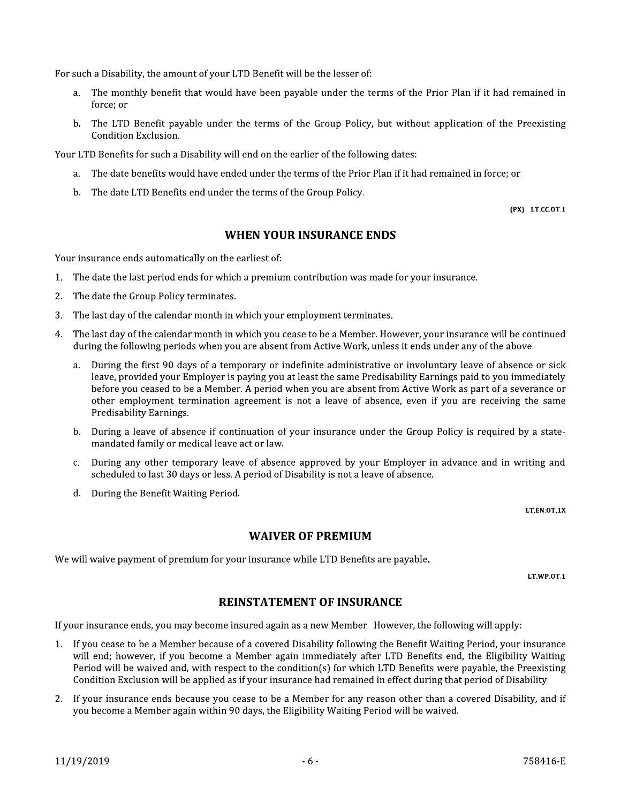For such a Disability, the amount of your LTD Benefit will be the lesser of:

- The monthly benefit that would have been payable under the terms of the Prior Plan if it had remained in  $a$ force: or
- b. The LTD Benefit payable under the terms of the Group Policy, but without application of the Preexisting Condition Exclusion.

Your LTD Benefits for such a Disability will end on the earlier of the following dates:

- a. The date benefits would have ended under the terms of the Prior Plan if it had remained in force; or
- b. The date LTD Benefits end under the terms of the Group Policy.

(PX) LT.CC.OT.1

# **WHEN YOUR INSURANCE ENDS**

Your insurance ends automatically on the earliest of:

- 1. The date the last period ends for which a premium contribution was made for your insurance.
- $2.$ The date the Group Policy terminates.
- $3.$ The last day of the calendar month in which your employment terminates.
- 4. The last day of the calendar month in which you cease to be a Member. However, your insurance will be continued during the following periods when you are absent from Active Work, unless it ends under any of the above.
	- During the first 90 days of a temporary or indefinite administrative or involuntary leave of absence or sick  $a<sub>z</sub>$ leave, provided your Employer is paying you at least the same Predisability Earnings paid to you immediately before you ceased to be a Member. A period when you are absent from Active Work as part of a severance or other employment termination agreement is not a leave of absence, even if you are receiving the same Predisability Earnings.
	- b. During a leave of absence if continuation of your insurance under the Group Policy is required by a statemandated family or medical leave act or law.
	- During any other temporary leave of absence approved by your Employer in advance and in writing and  $C.$ scheduled to last 30 days or less. A period of Disability is not a leave of absence.
	- d. During the Benefit Waiting Period.

LT.EN.OT.1X

# **WAIVER OF PREMIUM**

We will waive payment of premium for your insurance while LTD Benefits are payable.

LT.WP.0T.1

# **REINSTATEMENT OF INSURANCE**

If your insurance ends, you may become insured again as a new Member. However, the following will apply:

- 1. If you cease to be a Member because of a covered Disability following the Benefit Waiting Period, your insurance will end: however, if you become a Member again immediately after LTD Benefits end, the Eligibility Waiting Period will be waived and, with respect to the condition(s) for which LTD Benefits were payable, the Preexisting Condition Exclusion will be applied as if your insurance had remained in effect during that period of Disability.
- 2. If your insurance ends because you cease to be a Member for any reason other than a covered Disability, and if you become a Member again within 90 days, the Eligibility Waiting Period will be waived.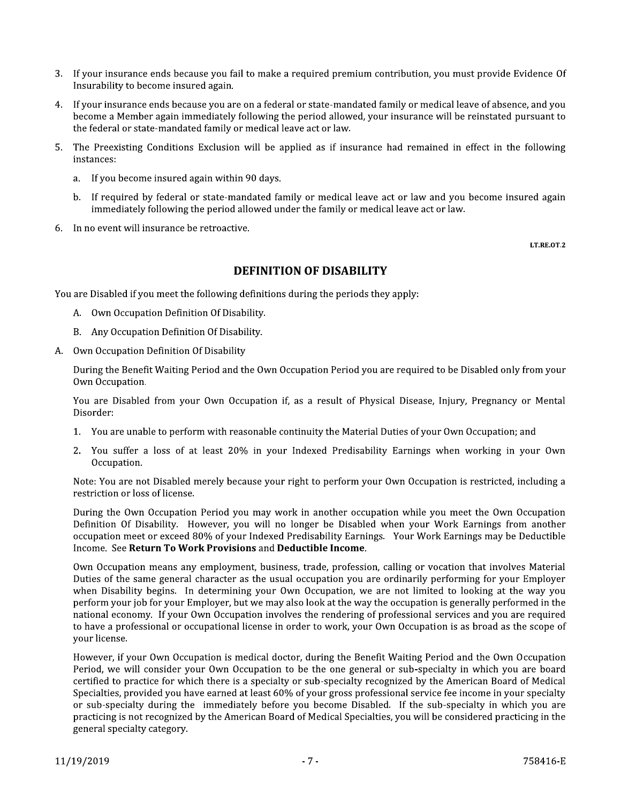- 3. If your insurance ends because you fail to make a required premium contribution, you must provide Evidence Of Insurability to become insured again.
- 4. If your insurance ends because you are on a federal or state-mandated family or medical leave of absence, and you become a Member again immediately following the period allowed, your insurance will be reinstated pursuant to the federal or state-mandated family or medical leave act or law.
- The Preexisting Conditions Exclusion will be applied as if insurance had remained in effect in the following  $5.$ instances:
	- If you become insured again within 90 days.  $a_{\cdot}$
	- b. If required by federal or state-mandated family or medical leave act or law and you become insured again immediately following the period allowed under the family or medical leave act or law.
- 6 In no event will insurance be retroactive.

LT.RE.OT.2

# **DEFINITION OF DISABILITY**

You are Disabled if you meet the following definitions during the periods they apply:

- A. Own Occupation Definition Of Disability.
- B. Any Occupation Definition Of Disability.
- Own Occupation Definition Of Disability A.

During the Benefit Waiting Period and the Own Occupation Period you are required to be Disabled only from your Own Occupation.

You are Disabled from your Own Occupation if, as a result of Physical Disease, Injury, Pregnancy or Mental Disorder:

- 1. You are unable to perform with reasonable continuity the Material Duties of your Own Occupation; and
- $2.$ You suffer a loss of at least 20% in your Indexed Predisability Earnings when working in your Own Occupation.

Note: You are not Disabled merely because your right to perform your Own Occupation is restricted, including a restriction or loss of license.

During the Own Occupation Period you may work in another occupation while you meet the Own Occupation Definition Of Disability. However, you will no longer be Disabled when your Work Earnings from another occupation meet or exceed 80% of your Indexed Predisability Earnings. Your Work Earnings may be Deductible Income. See Return To Work Provisions and Deductible Income.

Own Occupation means any employment, business, trade, profession, calling or vocation that involves Material Duties of the same general character as the usual occupation you are ordinarily performing for your Employer when Disability begins. In determining your Own Occupation, we are not limited to looking at the way you perform your job for your Employer, but we may also look at the way the occupation is generally performed in the national economy. If your Own Occupation involves the rendering of professional services and you are required to have a professional or occupational license in order to work, your Own Occupation is as broad as the scope of your license.

However, if your Own Occupation is medical doctor, during the Benefit Waiting Period and the Own Occupation Period, we will consider your Own Occupation to be the one general or sub-specialty in which you are board certified to practice for which there is a specialty or sub-specialty recognized by the American Board of Medical Specialties, provided you have earned at least 60% of your gross professional service fee income in your specialty or sub-specialty during the immediately before you become Disabled. If the sub-specialty in which you are practicing is not recognized by the American Board of Medical Specialties, you will be considered practicing in the general specialty category.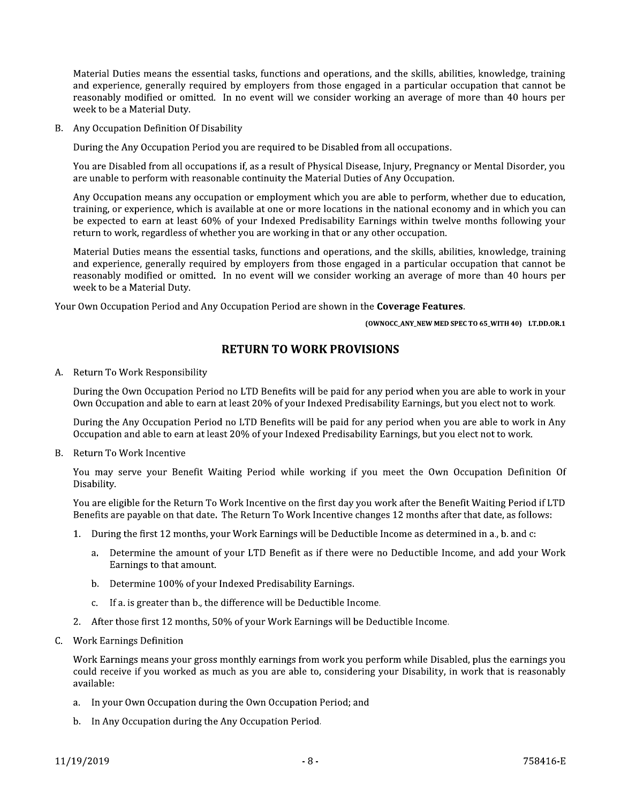Material Duties means the essential tasks, functions and operations, and the skills, abilities, knowledge, training and experience, generally required by employers from those engaged in a particular occupation that cannot be reasonably modified or omitted. In no event will we consider working an average of more than 40 hours per week to be a Material Duty.

B. Any Occupation Definition Of Disability

During the Any Occupation Period you are required to be Disabled from all occupations.

You are Disabled from all occupations if, as a result of Physical Disease, Injury, Pregnancy or Mental Disorder, you are unable to perform with reasonable continuity the Material Duties of Any Occupation.

Any Occupation means any occupation or employment which you are able to perform, whether due to education, training, or experience, which is available at one or more locations in the national economy and in which you can be expected to earn at least 60% of your Indexed Predisability Earnings within twelve months following your return to work, regardless of whether you are working in that or any other occupation.

Material Duties means the essential tasks, functions and operations, and the skills, abilities, knowledge, training and experience, generally required by employers from those engaged in a particular occupation that cannot be reasonably modified or omitted. In no event will we consider working an average of more than 40 hours per week to be a Material Duty.

Your Own Occupation Period and Any Occupation Period are shown in the Coverage Features.

(OWNOCC\_ANY\_NEW MED SPEC TO 65\_WITH 40) LT.DD.OR.1

# **RETURN TO WORK PROVISIONS**

A. Return To Work Responsibility

During the Own Occupation Period no LTD Benefits will be paid for any period when you are able to work in your Own Occupation and able to earn at least 20% of your Indexed Predisability Earnings, but you elect not to work.

During the Any Occupation Period no LTD Benefits will be paid for any period when you are able to work in Any Occupation and able to earn at least 20% of your Indexed Predisability Earnings, but you elect not to work.

B. Return To Work Incentive

You may serve your Benefit Waiting Period while working if you meet the Own Occupation Definition Of Disability.

You are eligible for the Return To Work Incentive on the first day you work after the Benefit Waiting Period if LTD Benefits are payable on that date. The Return To Work Incentive changes 12 months after that date, as follows:

- 1. During the first 12 months, your Work Earnings will be Deductible Income as determined in a., b. and c:
	- a. Determine the amount of your LTD Benefit as if there were no Deductible Income, and add your Work Earnings to that amount.
	- b. Determine 100% of your Indexed Predisability Earnings.
	- c. If a. is greater than b., the difference will be Deductible Income.
- 2. After those first 12 months, 50% of your Work Earnings will be Deductible Income.
- C. Work Earnings Definition

Work Earnings means your gross monthly earnings from work you perform while Disabled, plus the earnings you could receive if you worked as much as you are able to, considering your Disability, in work that is reasonably available:

- a. In your Own Occupation during the Own Occupation Period; and
- b. In Any Occupation during the Any Occupation Period.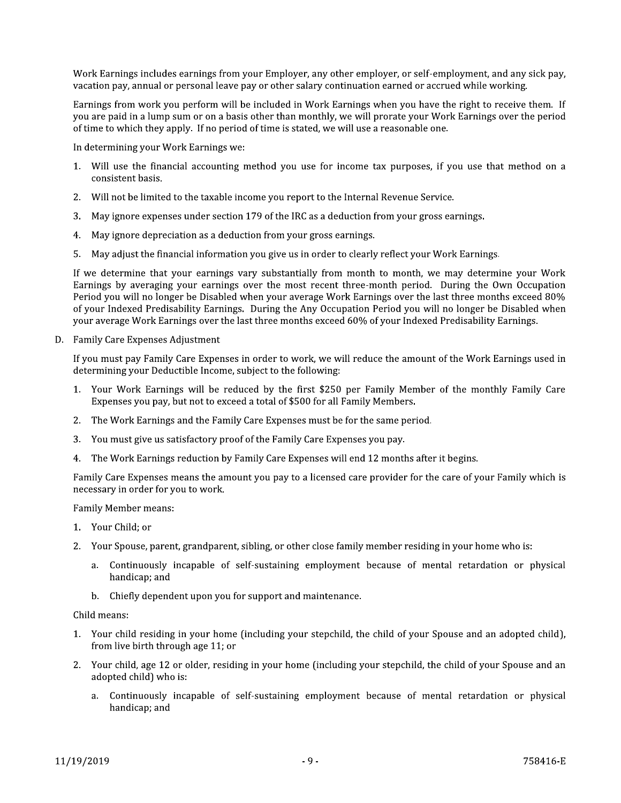Work Earnings includes earnings from your Employer, any other employer, or self-employment, and any sick pay, vacation pay, annual or personal leave pay or other salary continuation earned or accrued while working.

Earnings from work you perform will be included in Work Earnings when you have the right to receive them. If you are paid in a lump sum or on a basis other than monthly, we will prorate your Work Earnings over the period of time to which they apply. If no period of time is stated, we will use a reasonable one.

In determining your Work Earnings we:

- 1. Will use the financial accounting method you use for income tax purposes, if you use that method on a consistent basis.
- 2. Will not be limited to the taxable income you report to the Internal Revenue Service.
- 3. May ignore expenses under section 179 of the IRC as a deduction from your gross earnings.
- 4. May ignore depreciation as a deduction from your gross earnings.
- 5. May adjust the financial information you give us in order to clearly reflect your Work Earnings.

If we determine that your earnings vary substantially from month to month, we may determine your Work Earnings by averaging your earnings over the most recent three-month period. During the Own Occupation Period you will no longer be Disabled when your average Work Earnings over the last three months exceed 80% of your Indexed Predisability Earnings. During the Any Occupation Period you will no longer be Disabled when your average Work Earnings over the last three months exceed 60% of your Indexed Predisability Earnings.

D. Family Care Expenses Adjustment

If you must pay Family Care Expenses in order to work, we will reduce the amount of the Work Earnings used in determining your Deductible Income, subject to the following:

- 1. Your Work Earnings will be reduced by the first \$250 per Family Member of the monthly Family Care Expenses you pay, but not to exceed a total of \$500 for all Family Members.
- 2. The Work Earnings and the Family Care Expenses must be for the same period.
- 3. You must give us satisfactory proof of the Family Care Expenses you pay.
- 4. The Work Earnings reduction by Family Care Expenses will end 12 months after it begins.

Family Care Expenses means the amount you pay to a licensed care provider for the care of your Family which is necessary in order for you to work.

**Family Member means:** 

- 1. Your Child; or
- 2. Your Spouse, parent, grandparent, sibling, or other close family member residing in your home who is:
	- a. Continuously incapable of self-sustaining employment because of mental retardation or physical handicap; and
	- b. Chiefly dependent upon you for support and maintenance.

Child means:

- 1. Your child residing in your home (including your stepchild, the child of your Spouse and an adopted child), from live birth through age 11; or
- 2. Your child, age 12 or older, residing in your home (including your stepchild, the child of your Spouse and an adopted child) who is:
	- a. Continuously incapable of self-sustaining employment because of mental retardation or physical handicap; and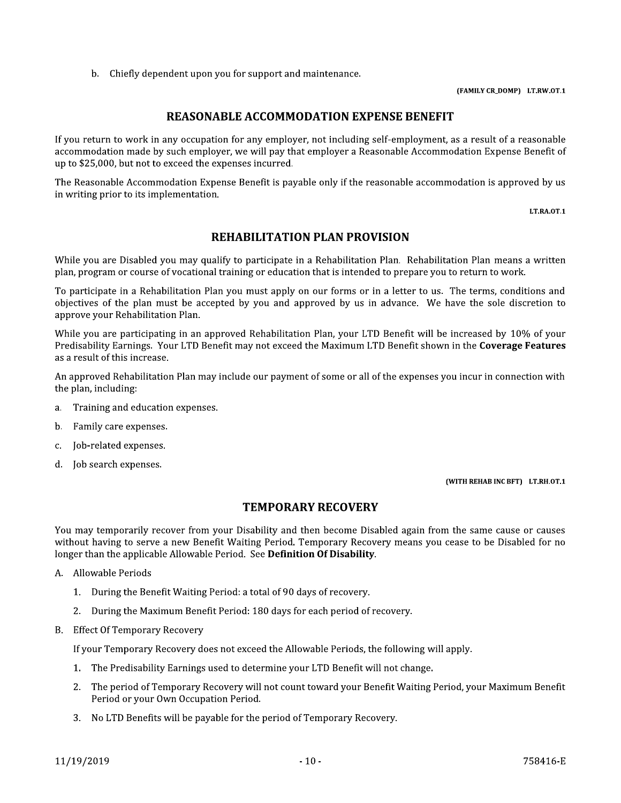b. Chiefly dependent upon you for support and maintenance.

(FAMILY CR\_DOMP) LT.RW.OT.1

# **REASONABLE ACCOMMODATION EXPENSE BENEFIT**

If you return to work in any occupation for any employer, not including self-employment, as a result of a reasonable accommodation made by such employer, we will pay that employer a Reasonable Accommodation Expense Benefit of up to \$25,000, but not to exceed the expenses incurred.

The Reasonable Accommodation Expense Benefit is payable only if the reasonable accommodation is approved by us in writing prior to its implementation.

LT.RA.OT.1

# **REHABILITATION PLAN PROVISION**

While you are Disabled you may qualify to participate in a Rehabilitation Plan. Rehabilitation Plan means a written plan, program or course of vocational training or education that is intended to prepare you to return to work.

To participate in a Rehabilitation Plan you must apply on our forms or in a letter to us. The terms, conditions and objectives of the plan must be accepted by you and approved by us in advance. We have the sole discretion to approve your Rehabilitation Plan.

While you are participating in an approved Rehabilitation Plan, your LTD Benefit will be increased by 10% of your Predisability Earnings. Your LTD Benefit may not exceed the Maximum LTD Benefit shown in the Coverage Features as a result of this increase.

An approved Rehabilitation Plan may include our payment of some or all of the expenses you incur in connection with the plan, including:

- Training and education expenses.  $a<sub>z</sub>$
- b. Family care expenses.
- Job-related expenses.  $\mathcal{C}$ .
- d. Job search expenses.

(WITH REHAB INC BFT) LT.RH.OT.1

# **TEMPORARY RECOVERY**

You may temporarily recover from your Disability and then become Disabled again from the same cause or causes without having to serve a new Benefit Waiting Period. Temporary Recovery means you cease to be Disabled for no longer than the applicable Allowable Period. See Definition Of Disability.

- A. Allowable Periods
	- 1. During the Benefit Waiting Period: a total of 90 days of recovery.
	- 2. During the Maximum Benefit Period: 180 days for each period of recovery.
- **B.** Effect Of Temporary Recovery

If your Temporary Recovery does not exceed the Allowable Periods, the following will apply.

- 1. The Predisability Earnings used to determine your LTD Benefit will not change.
- 2. The period of Temporary Recovery will not count toward your Benefit Waiting Period, your Maximum Benefit Period or your Own Occupation Period.
- 3. No LTD Benefits will be payable for the period of Temporary Recovery.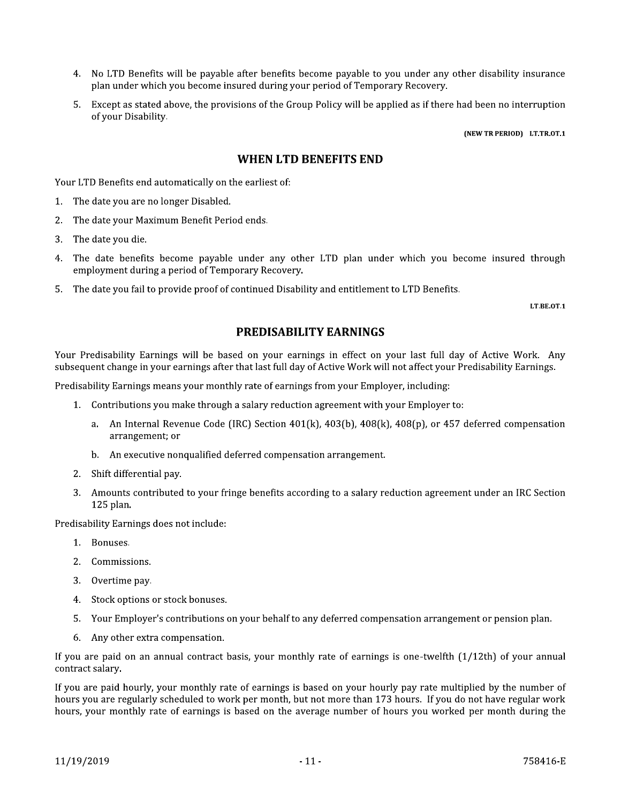- 4. No LTD Benefits will be payable after benefits become payable to you under any other disability insurance plan under which you become insured during your period of Temporary Recovery.
- 5. Except as stated above, the provisions of the Group Policy will be applied as if there had been no interruption of your Disability.

(NEW TR PERIOD) LT.TR.OT.1

# **WHEN LTD BENEFITS END**

Your LTD Benefits end automatically on the earliest of:

- 1. The date you are no longer Disabled.
- $2.$ The date your Maximum Benefit Period ends.
- 3. The date you die.
- 4. The date benefits become payable under any other LTD plan under which you become insured through employment during a period of Temporary Recovery.
- 5. The date you fail to provide proof of continued Disability and entitlement to LTD Benefits.

LT.BE.OT.1

# **PREDISABILITY EARNINGS**

Your Predisability Earnings will be based on your earnings in effect on your last full day of Active Work. Any subsequent change in your earnings after that last full day of Active Work will not affect your Predisability Earnings.

Predisability Earnings means your monthly rate of earnings from your Employer, including:

- 1. Contributions you make through a salary reduction agreement with your Employer to:
	- a. An Internal Revenue Code (IRC) Section  $401(k)$ ,  $403(b)$ ,  $408(k)$ ,  $408(p)$ , or  $457$  deferred compensation arrangement; or
	- b. An executive nonqualified deferred compensation arrangement.
- 2. Shift differential pay.
- 3. Amounts contributed to your fringe benefits according to a salary reduction agreement under an IRC Section 125 plan.

Predisability Earnings does not include:

- 1. Bonuses.
- 2. Commissions.
- 3. Overtime pay.
- 4. Stock options or stock bonuses.
- Your Employer's contributions on your behalf to any deferred compensation arrangement or pension plan.  $5.$
- 6. Any other extra compensation.

If you are paid on an annual contract basis, your monthly rate of earnings is one-twelfth  $(1/12th)$  of your annual contract salary.

If you are paid hourly, your monthly rate of earnings is based on your hourly pay rate multiplied by the number of hours you are regularly scheduled to work per month, but not more than 173 hours. If you do not have regular work hours, your monthly rate of earnings is based on the average number of hours you worked per month during the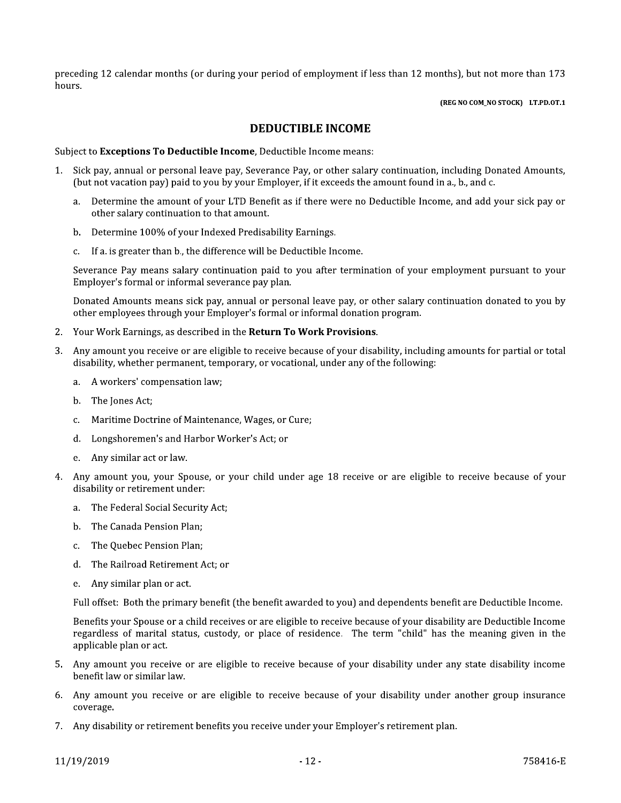preceding 12 calendar months (or during your period of employment if less than 12 months), but not more than 173 hours.

(REG NO COM\_NO STOCK) LT.PD.OT.1

# **DEDUCTIBLE INCOME**

Subject to Exceptions To Deductible Income, Deductible Income means:

- Sick pay, annual or personal leave pay, Severance Pay, or other salary continuation, including Donated Amounts, 1. (but not vacation pay) paid to you by your Employer, if it exceeds the amount found in a., b., and c.
	- a. Determine the amount of your LTD Benefit as if there were no Deductible Income, and add your sick pay or other salary continuation to that amount.
	- b. Determine 100% of your Indexed Predisability Earnings.
	- c. If a. is greater than b., the difference will be Deductible Income.

Severance Pay means salary continuation paid to you after termination of your employment pursuant to your Employer's formal or informal severance pay plan.

Donated Amounts means sick pay, annual or personal leave pay, or other salary continuation donated to you by other employees through your Employer's formal or informal donation program.

- 2. Your Work Earnings, as described in the Return To Work Provisions.
- Any amount you receive or are eligible to receive because of your disability, including amounts for partial or total  $\mathbf{R}$ disability, whether permanent, temporary, or vocational, under any of the following:
	- a. A workers' compensation law;
	- b. The Jones Act;
	- Maritime Doctrine of Maintenance, Wages, or Cure;  $C_{\cdot}$
	- d. Longshoremen's and Harbor Worker's Act; or
	- Any similar act or law.  $e_{\cdot}$
- Anv amount you, your Spouse, or your child under age 18 receive or are eligible to receive because of your disability or retirement under:
	- a. The Federal Social Security Act;
	- b. The Canada Pension Plan:
	- The Ouebec Pension Plan: c.
	- d. The Railroad Retirement Act; or
	- e. Any similar plan or act.

Full offset: Both the primary benefit (the benefit awarded to you) and dependents benefit are Deductible Income.

Benefits your Spouse or a child receives or are eligible to receive because of your disability are Deductible Income regardless of marital status, custody, or place of residence. The term "child" has the meaning given in the applicable plan or act.

- 5. Any amount you receive or are eligible to receive because of your disability under any state disability income benefit law or similar law.
- 6. Any amount you receive or are eligible to receive because of your disability under another group insurance coverage.
- 7. Any disability or retirement benefits you receive under your Employer's retirement plan.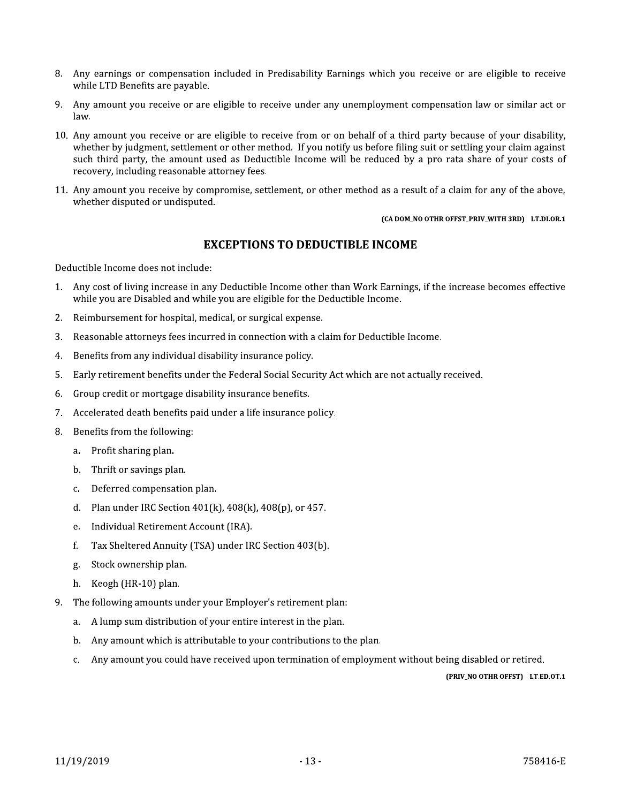- 8. Any earnings or compensation included in Predisability Earnings which you receive or are eligible to receive while LTD Benefits are pavable.
- 9. Any amount you receive or are eligible to receive under any unemployment compensation law or similar act or law.
- 10. Any amount you receive or are eligible to receive from or on behalf of a third party because of your disability, whether by judgment, settlement or other method. If you notify us before filing suit or settling your claim against such third party, the amount used as Deductible Income will be reduced by a pro rata share of your costs of recovery, including reasonable attorney fees.
- 11. Any amount you receive by compromise, settlement, or other method as a result of a claim for any of the above, whether disputed or undisputed.

#### (CA DOM\_NO OTHR OFFST\_PRIV\_WITH 3RD) LT.DI.OR.1

# **EXCEPTIONS TO DEDUCTIBLE INCOME**

Deductible Income does not include:

- Any cost of living increase in any Deductible Income other than Work Earnings, if the increase becomes effective  $1.$ while you are Disabled and while you are eligible for the Deductible Income.
- Reimbursement for hospital, medical, or surgical expense. 2.
- Reasonable attorneys fees incurred in connection with a claim for Deductible Income. 3.
- 4. Benefits from any individual disability insurance policy.
- Early retirement benefits under the Federal Social Security Act which are not actually received. 5.
- Group credit or mortgage disability insurance benefits. 6.
- Accelerated death benefits paid under a life insurance policy.  $7.$
- Benefits from the following: 8.
	- a. Profit sharing plan.
	- b. Thrift or savings plan.
	- Deferred compensation plan. c.
	- Plan under IRC Section 401(k), 408(k), 408(p), or 457. d.
	- Individual Retirement Account (IRA). e.
	- f. Tax Sheltered Annuity (TSA) under IRC Section 403(b).
	- Stock ownership plan. g.
	- $h_{-}$ Keogh (HR-10) plan.
- 9. The following amounts under your Employer's retirement plan:
	- A lump sum distribution of your entire interest in the plan. a.
	- Any amount which is attributable to your contributions to the plan. b.
	- Any amount you could have received upon termination of employment without being disabled or retired. c.

(PRIV\_NO OTHR OFFST) LT.ED.OT.1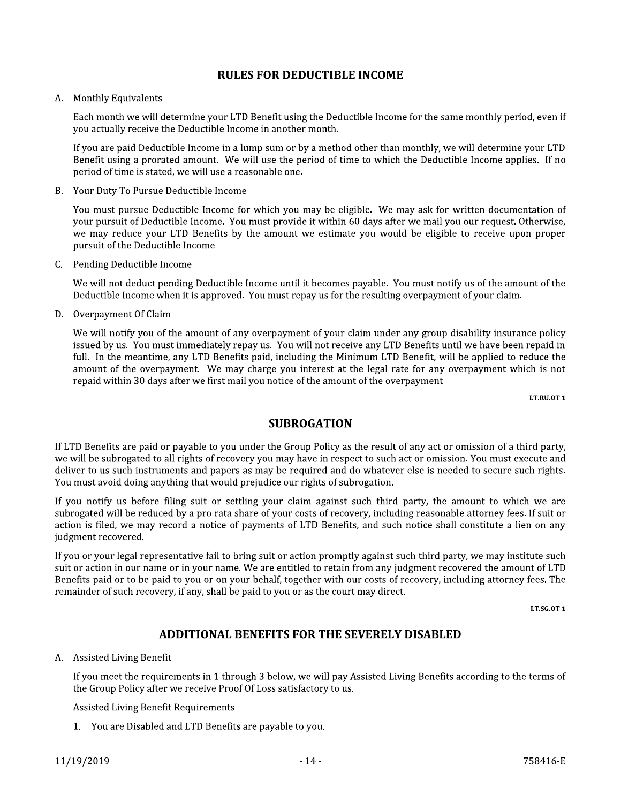# **RULES FOR DEDUCTIBLE INCOME**

#### A. Monthly Equivalents

Each month we will determine your LTD Benefit using the Deductible Income for the same monthly period, even if you actually receive the Deductible Income in another month.

If you are paid Deductible Income in a lump sum or by a method other than monthly, we will determine your LTD Benefit using a prorated amount. We will use the period of time to which the Deductible Income applies. If no period of time is stated, we will use a reasonable one.

Your Duty To Pursue Deductible Income **B.** 

You must pursue Deductible Income for which you may be eligible. We may ask for written documentation of your pursuit of Deductible Income. You must provide it within 60 days after we mail you our request. Otherwise, we may reduce your LTD Benefits by the amount we estimate you would be eligible to receive upon proper pursuit of the Deductible Income.

C. Pending Deductible Income

We will not deduct pending Deductible Income until it becomes payable. You must notify us of the amount of the Deductible Income when it is approved. You must repay us for the resulting overpayment of your claim.

D. Overpayment Of Claim

We will notify you of the amount of any overpayment of your claim under any group disability insurance policy issued by us. You must immediately repay us. You will not receive any LTD Benefits until we have been repaid in full. In the meantime, any LTD Benefits paid, including the Minimum LTD Benefit, will be applied to reduce the amount of the overpayment. We may charge you interest at the legal rate for any overpayment which is not repaid within 30 days after we first mail you notice of the amount of the overpayment.

LT.RU.OT.1

# **SUBROGATION**

If LTD Benefits are paid or payable to you under the Group Policy as the result of any act or omission of a third party, we will be subrogated to all rights of recovery you may have in respect to such act or omission. You must execute and deliver to us such instruments and papers as may be required and do whatever else is needed to secure such rights. You must avoid doing anything that would prejudice our rights of subrogation.

If you notify us before filing suit or settling your claim against such third party, the amount to which we are subrogated will be reduced by a pro rata share of your costs of recovery, including reasonable attorney fees. If suit or action is filed, we may record a notice of payments of LTD Benefits, and such notice shall constitute a lien on any judgment recovered.

If you or your legal representative fail to bring suit or action promptly against such third party, we may institute such suit or action in our name or in your name. We are entitled to retain from any judgment recovered the amount of LTD Benefits paid or to be paid to you or on your behalf, together with our costs of recovery, including attorney fees. The remainder of such recovery, if any, shall be paid to you or as the court may direct.

LT.SG.OT.1

# **ADDITIONAL BENEFITS FOR THE SEVERELY DISABLED**

#### A. Assisted Living Benefit

If you meet the requirements in 1 through 3 below, we will pay Assisted Living Benefits according to the terms of the Group Policy after we receive Proof Of Loss satisfactory to us.

**Assisted Living Benefit Requirements** 

1. You are Disabled and LTD Benefits are payable to you.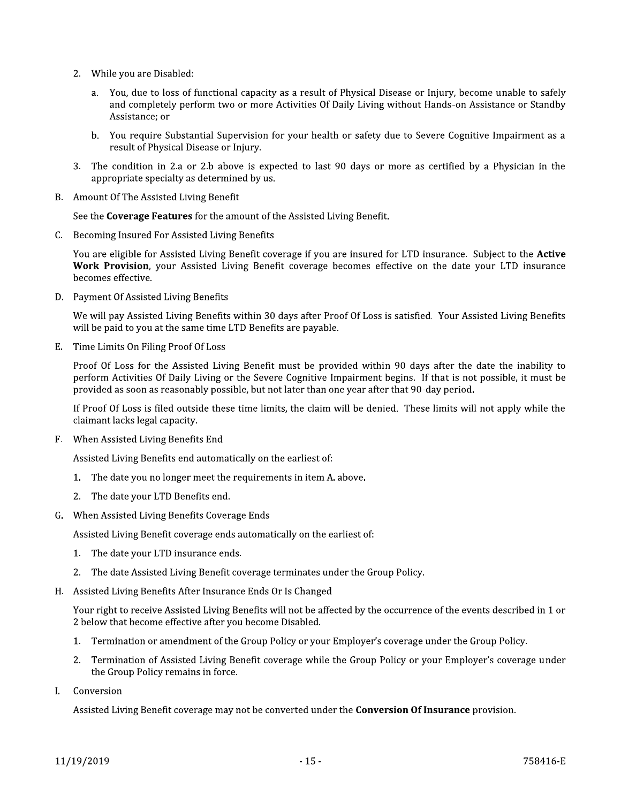- 2. While you are Disabled:
	- a. You, due to loss of functional capacity as a result of Physical Disease or Injury, become unable to safely and completely perform two or more Activities Of Daily Living without Hands-on Assistance or Standby Assistance; or
	- b. You require Substantial Supervision for your health or safety due to Severe Cognitive Impairment as a result of Physical Disease or Injury.
- 3. The condition in 2.a or 2.b above is expected to last 90 days or more as certified by a Physician in the appropriate specialty as determined by us.
- B. Amount Of The Assisted Living Benefit

See the Coverage Features for the amount of the Assisted Living Benefit.

C. Becoming Insured For Assisted Living Benefits

You are eligible for Assisted Living Benefit coverage if you are insured for LTD insurance. Subject to the Active Work Provision, your Assisted Living Benefit coverage becomes effective on the date your LTD insurance becomes effective.

D. Payment Of Assisted Living Benefits

We will pay Assisted Living Benefits within 30 days after Proof Of Loss is satisfied. Your Assisted Living Benefits will be paid to you at the same time LTD Benefits are payable.

E. Time Limits On Filing Proof Of Loss

Proof Of Loss for the Assisted Living Benefit must be provided within 90 days after the date the inability to perform Activities Of Daily Living or the Severe Cognitive Impairment begins. If that is not possible, it must be provided as soon as reasonably possible, but not later than one year after that 90-day period.

If Proof Of Loss is filed outside these time limits, the claim will be denied. These limits will not apply while the claimant lacks legal capacity.

F. When Assisted Living Benefits End

Assisted Living Benefits end automatically on the earliest of:

- 1. The date you no longer meet the requirements in item A. above.
- 2. The date your LTD Benefits end.
- G. When Assisted Living Benefits Coverage Ends

Assisted Living Benefit coverage ends automatically on the earliest of:

- 1. The date your LTD insurance ends.
- 2. The date Assisted Living Benefit coverage terminates under the Group Policy.
- H. Assisted Living Benefits After Insurance Ends Or Is Changed

Your right to receive Assisted Living Benefits will not be affected by the occurrence of the events described in 1 or 2 below that become effective after you become Disabled.

- 1. Termination or amendment of the Group Policy or your Employer's coverage under the Group Policy.
- 2. Termination of Assisted Living Benefit coverage while the Group Policy or your Employer's coverage under the Group Policy remains in force.
- Conversion I.

Assisted Living Benefit coverage may not be converted under the **Conversion Of Insurance** provision.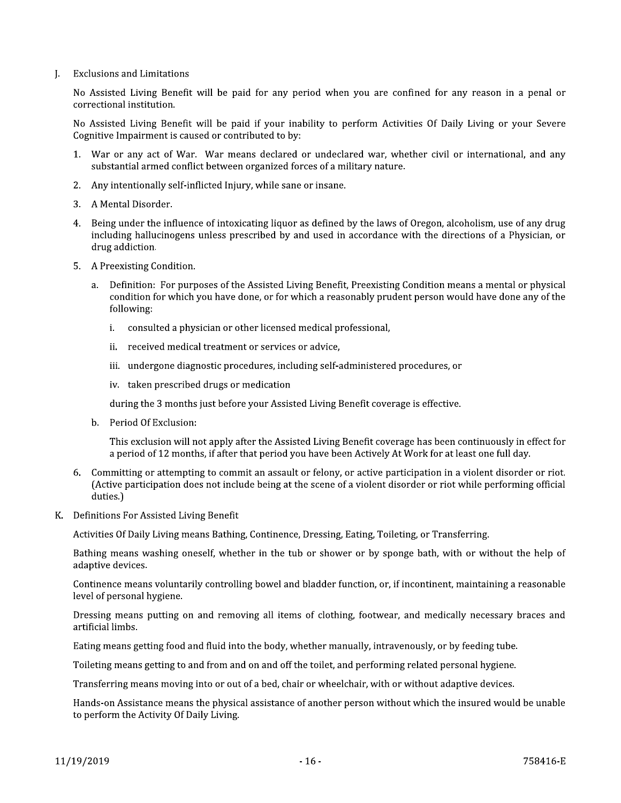**Exclusions and Limitations** L.

> No Assisted Living Benefit will be paid for any period when you are confined for any reason in a penal or correctional institution.

> No Assisted Living Benefit will be paid if your inability to perform Activities Of Daily Living or your Severe Cognitive Impairment is caused or contributed to by:

- 1. War or any act of War. War means declared or undeclared war, whether civil or international, and any substantial armed conflict between organized forces of a military nature.
- 2. Any intentionally self-inflicted Injury, while sane or insane.
- 3. A Mental Disorder.
- 4. Being under the influence of intoxicating liquor as defined by the laws of Oregon, alcoholism, use of any drug including hallucinogens unless prescribed by and used in accordance with the directions of a Physician, or drug addiction.
- 5. A Preexisting Condition.
	- a. Definition: For purposes of the Assisted Living Benefit, Preexisting Condition means a mental or physical condition for which you have done, or for which a reasonably prudent person would have done any of the following:
		- i. consulted a physician or other licensed medical professional,
		- ii. received medical treatment or services or advice,
		- iii. undergone diagnostic procedures, including self-administered procedures, or
		- iv. taken prescribed drugs or medication

during the 3 months just before your Assisted Living Benefit coverage is effective.

b. Period Of Exclusion:

This exclusion will not apply after the Assisted Living Benefit coverage has been continuously in effect for a period of 12 months, if after that period you have been Actively At Work for at least one full day.

- 6. Committing or attempting to commit an assault or felony, or active participation in a violent disorder or riot. (Active participation does not include being at the scene of a violent disorder or riot while performing official duties.)
- K. Definitions For Assisted Living Benefit

Activities Of Daily Living means Bathing, Continence, Dressing, Eating, Toileting, or Transferring.

Bathing means washing oneself, whether in the tub or shower or by sponge bath, with or without the help of adaptive devices.

Continence means voluntarily controlling bowel and bladder function, or, if incontinent, maintaining a reasonable level of personal hygiene.

Dressing means putting on and removing all items of clothing, footwear, and medically necessary braces and artificial limbs.

Eating means getting food and fluid into the body, whether manually, intravenously, or by feeding tube.

Toileting means getting to and from and on and off the toilet, and performing related personal hygiene.

Transferring means moving into or out of a bed, chair or wheelchair, with or without adaptive devices.

Hands-on Assistance means the physical assistance of another person without which the insured would be unable to perform the Activity Of Daily Living.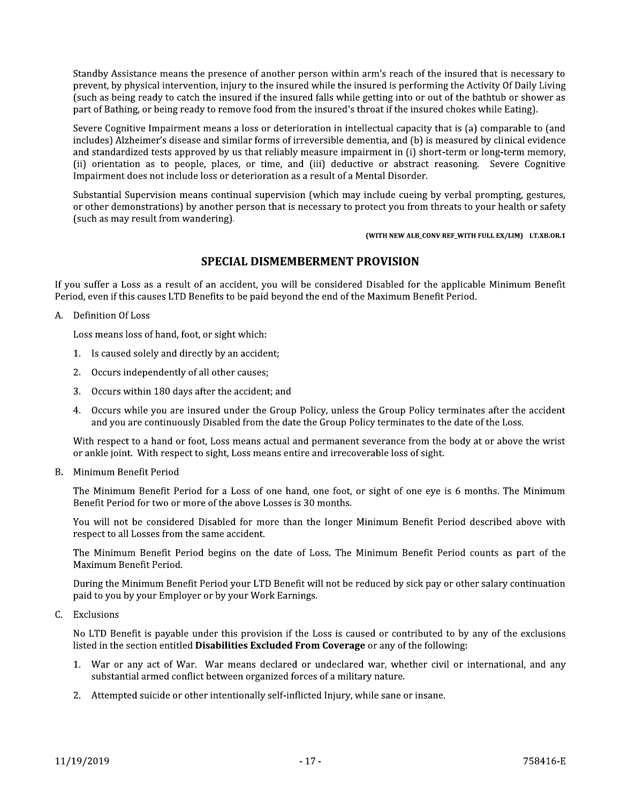Standby Assistance means the presence of another person within arm's reach of the insured that is necessary to prevent, by physical intervention, injury to the insured while the insured is performing the Activity Of Daily Living such as being ready to catch the insured if the insured falls while getting into or out of the bathtub or shower as part of Bathing, or being ready to remove food from the insured's throat if the insured chokes while Eating).

Severe Cognitive Impairment means a loss or deterioration in intellectual capacity that is (a) comparable to (and includes) Alzheimer's disease and similar forms of irreversible dementia, and (b) is measured by clinical evidence and standardized tests approved by us that reliably measure impairment in (i) short-term or long-term memory, (ii) orientation as to people, places, or time, and (iii) deductive or abstract reasoning. Severe Cognitive Impairment does not include loss or deterioration as a result of a Mental Disorder.

Substantial Supervision means continual supervision (which may include cueing by verbal prompting, gestures, or other demonstrations) by another person that is necessary to protect you from threats to your health or safety (such as may result from wandering).

(WITH NEW ALB\_CONV REF\_WITH FULL EX/LIM) LT.XB.OR.1

# **SPECIAL DISMEMBERMENT PROVISION**

If you suffer a Loss as a result of an accident, you will be considered Disabled for the applicable Minimum Benefit Period, even if this causes LTD Benefits to be paid beyond the end of the Maximum Benefit Period.

A. Definition Of Loss

Loss means loss of hand, foot, or sight which:

- 1. Is caused solely and directly by an accident;
- 2. Occurs independently of all other causes;
- 3. Occurs within 180 days after the accident; and
- 4. Occurs while you are insured under the Group Policy, unless the Group Policy terminates after the accident and you are continuously Disabled from the date the Group Policy terminates to the date of the Loss.

With respect to a hand or foot, Loss means actual and permanent severance from the body at or above the wrist or ankle joint. With respect to sight, Loss means entire and irrecoverable loss of sight.

B. Minimum Benefit Period

The Minimum Benefit Period for a Loss of one hand, one foot, or sight of one eye is 6 months. The Minimum Benefit Period for two or more of the above Losses is 30 months.

You will not be considered Disabled for more than the longer Minimum Benefit Period described above with respect to all Losses from the same accident.

The Minimum Benefit Period begins on the date of Loss. The Minimum Benefit Period counts as part of the Maximum Benefit Period.

During the Minimum Benefit Period your LTD Benefit will not be reduced by sick pay or other salary continuation paid to you by your Employer or by your Work Earnings.

C. Exclusions

No LTD Benefit is payable under this provision if the Loss is caused or contributed to by any of the exclusions listed in the section entitled Disabilities Excluded From Coverage or any of the following:

- 1. War or any act of War. War means declared or undeclared war, whether civil or international, and any substantial armed conflict between organized forces of a military nature.
- 2. Attempted suicide or other intentionally self-inflicted Injury, while sane or insane.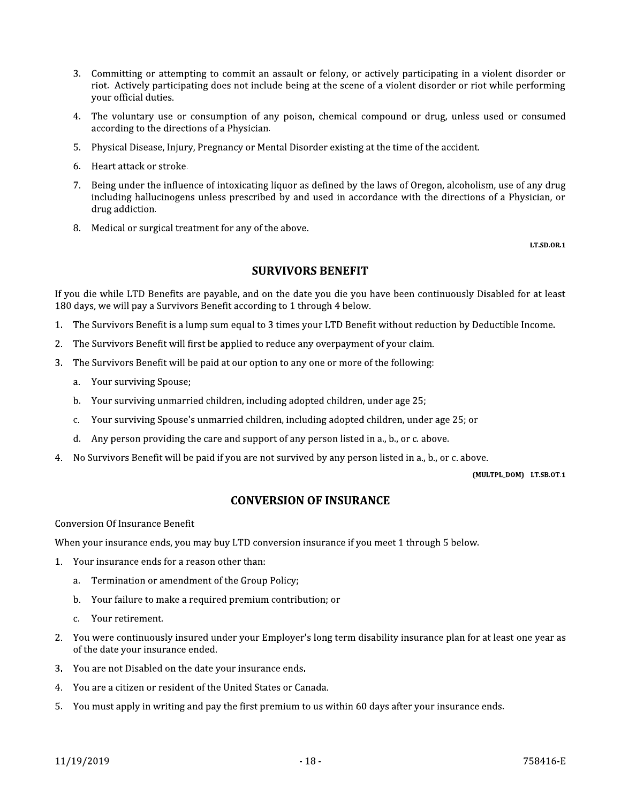- 3. Committing or attempting to commit an assault or felony, or actively participating in a violent disorder or riot. Actively participating does not include being at the scene of a violent disorder or riot while performing vour official duties.
- 4. The voluntary use or consumption of any poison, chemical compound or drug, unless used or consumed according to the directions of a Physician.
- 5. Physical Disease, Injury, Pregnancy or Mental Disorder existing at the time of the accident.
- 6. Heart attack or stroke.
- 7. Being under the influence of intoxicating liquor as defined by the laws of Oregon, alcoholism, use of any drug including hallucinogens unless prescribed by and used in accordance with the directions of a Physician, or drug addiction.
- 8. Medical or surgical treatment for any of the above.

**LT.SD.OR.1** 

# **SURVIVORS BENEFIT**

If you die while LTD Benefits are payable, and on the date you die you have been continuously Disabled for at least 180 days, we will pay a Survivors Benefit according to 1 through 4 below.

- 1. The Survivors Benefit is a lump sum equal to 3 times your LTD Benefit without reduction by Deductible Income.
- The Survivors Benefit will first be applied to reduce any overpayment of your claim.  $2.$
- The Survivors Benefit will be paid at our option to any one or more of the following: 3.
	- a. Your surviving Spouse;
	- b. Your surviving unmarried children, including adopted children, under age 25;
	- Your surviving Spouse's unmarried children, including adopted children, under age 25; or  $C_{1}$
	- Any person providing the care and support of any person listed in a., b., or c. above. d.
- No Survivors Benefit will be paid if you are not survived by any person listed in a., b., or c. above.  $4<sub>1</sub>$

(MULTPL\_DOM) LT.SB.OT.1

# **CONVERSION OF INSURANCE**

**Conversion Of Insurance Benefit** 

When your insurance ends, you may buy LTD conversion insurance if you meet 1 through 5 below.

- 1. Your insurance ends for a reason other than:
	- a. Termination or amendment of the Group Policy;
	- b. Your failure to make a required premium contribution; or
	- Your retirement.  $\mathbf{C}$
- 2. You were continuously insured under your Employer's long term disability insurance plan for at least one year as of the date your insurance ended.
- 3. You are not Disabled on the date your insurance ends.
- $4<sub>1</sub>$ You are a citizen or resident of the United States or Canada.
- 5. You must apply in writing and pay the first premium to us within 60 days after your insurance ends.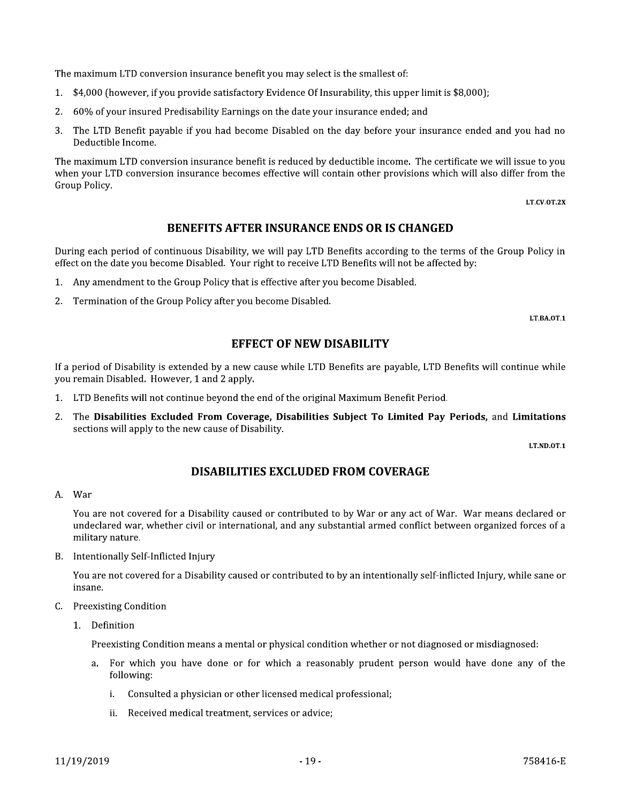The maximum LTD conversion insurance benefit you may select is the smallest of:

- \$4,000 (however, if you provide satisfactory Evidence Of Insurability, this upper limit is \$8,000);  $1<sup>1</sup>$
- 2. 60% of your insured Predisability Earnings on the date your insurance ended; and
- 3. The LTD Benefit payable if you had become Disabled on the day before your insurance ended and you had no Deductible Income.

The maximum LTD conversion insurance benefit is reduced by deductible income. The certificate we will issue to you when your LTD conversion insurance becomes effective will contain other provisions which will also differ from the Group Policy.

LT.CV.OT.2X

# **BENEFITS AFTER INSURANCE ENDS OR IS CHANGED**

During each period of continuous Disability, we will pay LTD Benefits according to the terms of the Group Policy in effect on the date you become Disabled. Your right to receive LTD Benefits will not be affected by:

- Any amendment to the Group Policy that is effective after you become Disabled.  $1.$
- 2. Termination of the Group Policy after you become Disabled.

LT.BA.OT.1

### **EFFECT OF NEW DISABILITY**

If a period of Disability is extended by a new cause while LTD Benefits are payable, LTD Benefits will continue while you remain Disabled. However, 1 and 2 apply.

- 1. LTD Benefits will not continue beyond the end of the original Maximum Benefit Period.
- 2. The Disabilities Excluded From Coverage, Disabilities Subject To Limited Pay Periods, and Limitations sections will apply to the new cause of Disability.

LT.ND.OT.1

# **DISABILITIES EXCLUDED FROM COVERAGE**

#### A. War

You are not covered for a Disability caused or contributed to by War or any act of War. War means declared or undeclared war, whether civil or international, and any substantial armed conflict between organized forces of a military nature.

B. Intentionally Self-Inflicted Injury

You are not covered for a Disability caused or contributed to by an intentionally self-inflicted Injury, while sane or insane.

- C. Preexisting Condition
	- 1. Definition

Preexisting Condition means a mental or physical condition whether or not diagnosed or misdiagnosed:

- For which you have done or for which a reasonably prudent person would have done any of the a. following:
	- Consulted a physician or other licensed medical professional: i.
	- ii. Received medical treatment, services or advice;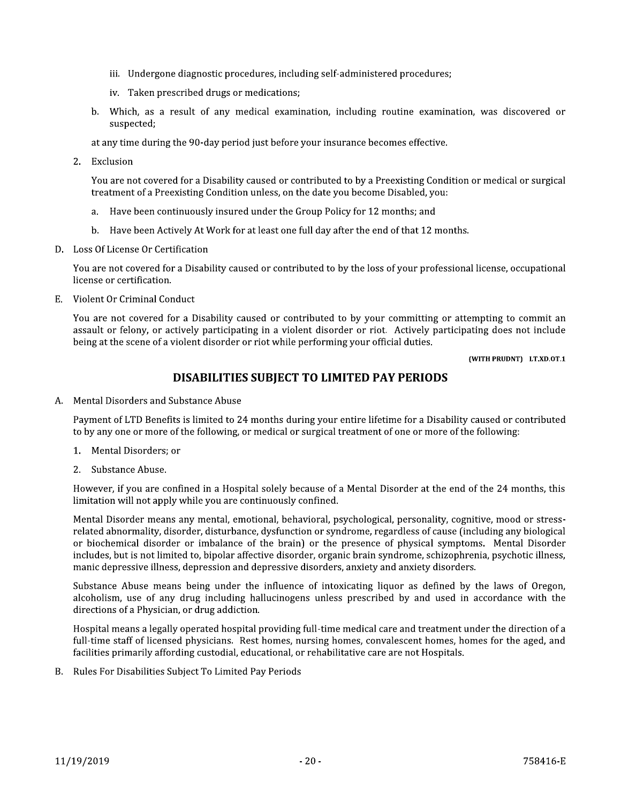- iii. Undergone diagnostic procedures, including self-administered procedures;
- iv. Taken prescribed drugs or medications;
- b. Which, as a result of any medical examination, including routine examination, was discovered or suspected;

at any time during the 90-day period just before your insurance becomes effective.

2. Exclusion

You are not covered for a Disability caused or contributed to by a Preexisting Condition or medical or surgical treatment of a Preexisting Condition unless, on the date you become Disabled, you:

- Have been continuously insured under the Group Policy for 12 months; and  $a<sub>z</sub>$
- b. Have been Actively At Work for at least one full day after the end of that 12 months.
- D. Loss Of License Or Certification

You are not covered for a Disability caused or contributed to by the loss of your professional license, occupational license or certification.

E. Violent Or Criminal Conduct

You are not covered for a Disability caused or contributed to by your committing or attempting to commit an assault or felony, or actively participating in a violent disorder or riot. Actively participating does not include being at the scene of a violent disorder or riot while performing your official duties.

(WITH PRUDNT) LT.XD.OT.1

# DISABILITIES SUBJECT TO LIMITED PAY PERIODS

A. Mental Disorders and Substance Abuse

Payment of LTD Benefits is limited to 24 months during your entire lifetime for a Disability caused or contributed to by any one or more of the following, or medical or surgical treatment of one or more of the following:

- 1. Mental Disorders: or
- 2. Substance Abuse.

However, if you are confined in a Hospital solely because of a Mental Disorder at the end of the 24 months, this limitation will not apply while you are continuously confined.

Mental Disorder means any mental, emotional, behavioral, psychological, personality, cognitive, mood or stressrelated abnormality, disorder, disturbance, dysfunction or syndrome, regardless of cause (including any biological or biochemical disorder or imbalance of the brain) or the presence of physical symptoms. Mental Disorder includes, but is not limited to, bipolar affective disorder, organic brain syndrome, schizophrenia, psychotic illness, manic depressive illness, depression and depressive disorders, anxiety and anxiety disorders.

Substance Abuse means being under the influence of intoxicating liquor as defined by the laws of Oregon, alcoholism, use of any drug including hallucinogens unless prescribed by and used in accordance with the directions of a Physician, or drug addiction.

Hospital means a legally operated hospital providing full-time medical care and treatment under the direction of a full-time staff of licensed physicians. Rest homes, nursing homes, convalescent homes, homes for the aged, and facilities primarily affording custodial, educational, or rehabilitative care are not Hospitals.

B. Rules For Disabilities Subject To Limited Pay Periods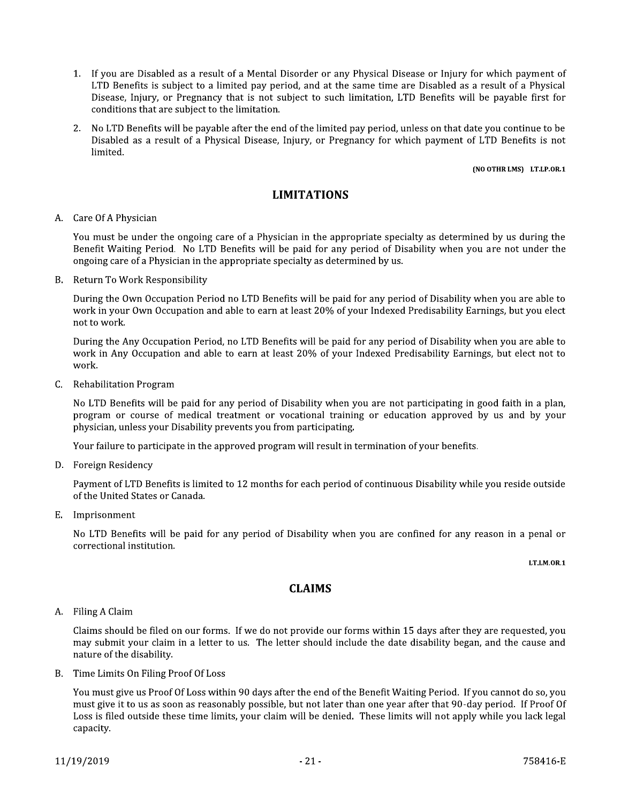- 1. If you are Disabled as a result of a Mental Disorder or any Physical Disease or Injury for which payment of LTD Benefits is subject to a limited pay period, and at the same time are Disabled as a result of a Physical Disease, Injury, or Pregnancy that is not subject to such limitation, LTD Benefits will be payable first for conditions that are subject to the limitation.
- 2. No LTD Benefits will be payable after the end of the limited pay period, unless on that date you continue to be Disabled as a result of a Physical Disease, Injury, or Pregnancy for which payment of LTD Benefits is not limited.

#### (NO OTHR LMS) LT.LP.OR.1

# **LIMITATIONS**

#### A. Care Of A Physician

You must be under the ongoing care of a Physician in the appropriate specialty as determined by us during the Benefit Waiting Period. No LTD Benefits will be paid for any period of Disability when you are not under the ongoing care of a Physician in the appropriate specialty as determined by us.

B. Return To Work Responsibility

During the Own Occupation Period no LTD Benefits will be paid for any period of Disability when you are able to work in your Own Occupation and able to earn at least 20% of your Indexed Predisability Earnings, but you elect not to work.

During the Any Occupation Period, no LTD Benefits will be paid for any period of Disability when you are able to work in Any Occupation and able to earn at least 20% of your Indexed Predisability Earnings, but elect not to work.

C. Rehabilitation Program

No LTD Benefits will be paid for any period of Disability when you are not participating in good faith in a plan, program or course of medical treatment or vocational training or education approved by us and by your physician, unless your Disability prevents you from participating.

Your failure to participate in the approved program will result in termination of your benefits.

D. Foreign Residency

Payment of LTD Benefits is limited to 12 months for each period of continuous Disability while you reside outside of the United States or Canada.

E. Imprisonment

No LTD Benefits will be paid for any period of Disability when you are confined for any reason in a penal or correctional institution.

LT.LM.OR.1

# **CLAIMS**

#### A. Filing A Claim

Claims should be filed on our forms. If we do not provide our forms within 15 days after they are requested, you may submit your claim in a letter to us. The letter should include the date disability began, and the cause and nature of the disability.

B. Time Limits On Filing Proof Of Loss

You must give us Proof Of Loss within 90 days after the end of the Benefit Waiting Period. If you cannot do so, you must give it to us as soon as reasonably possible, but not later than one year after that 90-day period. If Proof Of Loss is filed outside these time limits, your claim will be denied. These limits will not apply while you lack legal capacity.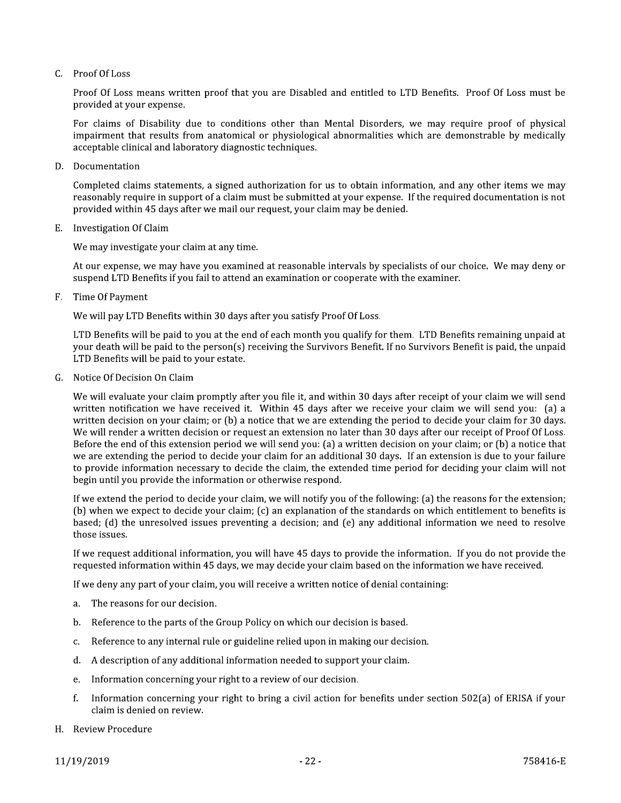### $C.$  Proof Of Loss

Proof Of Loss means written proof that you are Disabled and entitled to LTD Benefits. Proof Of Loss must be provided at your expense.

For claims of Disability due to conditions other than Mental Disorders, we may require proof of physical impairment that results from anatomical or physiological abnormalities which are demonstrable by medically acceptable clinical and laboratory diagnostic techniques.

D. Documentation

Completed claims statements, a signed authorization for us to obtain information, and any other items we may reasonably require in support of a claim must be submitted at your expense. If the required documentation is not provided within 45 days after we mail our request, your claim may be denied.

E. Investigation Of Claim

We may investigate your claim at any time.

At our expense, we may have you examined at reasonable intervals by specialists of our choice. We may deny or suspend LTD Benefits if you fail to attend an examination or cooperate with the examiner.

Time Of Payment F.

We will pay LTD Benefits within 30 days after you satisfy Proof Of Loss.

LTD Benefits will be paid to you at the end of each month you qualify for them. LTD Benefits remaining unpaid at your death will be paid to the person(s) receiving the Survivors Benefit. If no Survivors Benefit is paid, the unpaid LTD Benefits will be paid to your estate.

G. Notice Of Decision On Claim

We will evaluate your claim promptly after you file it, and within 30 days after receipt of your claim we will send written notification we have received it. Within 45 days after we receive your claim we will send you: (a) a written decision on your claim; or (b) a notice that we are extending the period to decide your claim for 30 days. We will render a written decision or request an extension no later than 30 days after our receipt of Proof Of Loss. Before the end of this extension period we will send you: (a) a written decision on your claim; or (b) a notice that we are extending the period to decide your claim for an additional 30 days. If an extension is due to your failure to provide information necessary to decide the claim, the extended time period for deciding your claim will not begin until you provide the information or otherwise respond.

If we extend the period to decide your claim, we will notify you of the following: (a) the reasons for the extension; (b) when we expect to decide your claim; (c) an explanation of the standards on which entitlement to benefits is based; (d) the unresolved issues preventing a decision; and (e) any additional information we need to resolve those issues.

If we request additional information, you will have 45 days to provide the information. If you do not provide the requested information within 45 days, we may decide your claim based on the information we have received.

If we deny any part of your claim, you will receive a written notice of denial containing:

- The reasons for our decision.  $\mathbf{a}$
- Reference to the parts of the Group Policy on which our decision is based. h.
- Reference to any internal rule or guideline relied upon in making our decision. c.
- A description of any additional information needed to support your claim. d.
- Information concerning your right to a review of our decision. e.
- Information concerning your right to bring a civil action for benefits under section 502(a) of ERISA if your f. claim is denied on review.
- H. Review Procedure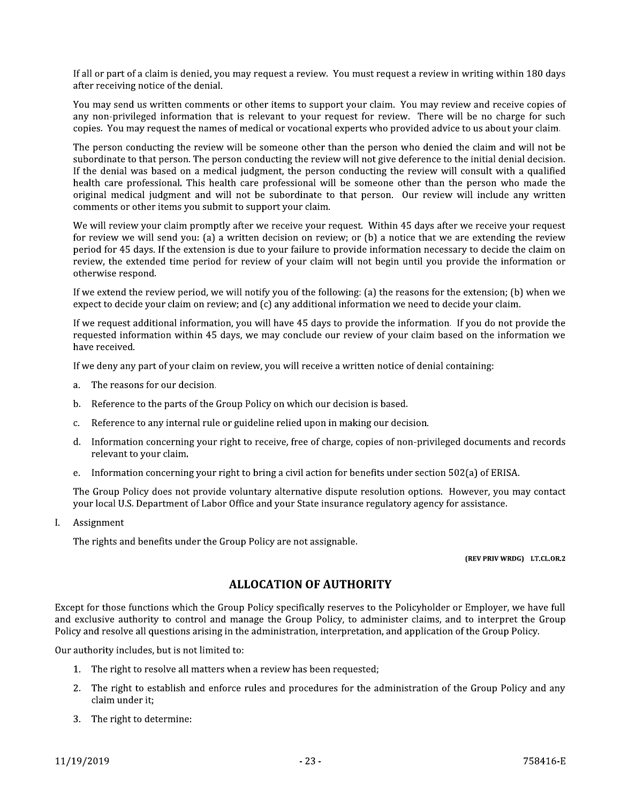If all or part of a claim is denied, you may request a review. You must request a review in writing within 180 days after receiving notice of the denial.

You may send us written comments or other items to support your claim. You may review and receive copies of any non-privileged information that is relevant to your request for review. There will be no charge for such copies. You may request the names of medical or vocational experts who provided advice to us about your claim.

The person conducting the review will be someone other than the person who denied the claim and will not be subordinate to that person. The person conducting the review will not give deference to the initial denial decision. If the denial was based on a medical judgment, the person conducting the review will consult with a qualified health care professional. This health care professional will be someone other than the person who made the original medical judgment and will not be subordinate to that person. Our review will include any written comments or other items you submit to support your claim.

We will review your claim promptly after we receive your request. Within 45 days after we receive your request for review we will send you: (a) a written decision on review; or (b) a notice that we are extending the review period for 45 days. If the extension is due to your failure to provide information necessary to decide the claim on review, the extended time period for review of your claim will not begin until you provide the information or otherwise respond.

If we extend the review period, we will notify you of the following: (a) the reasons for the extension; (b) when we expect to decide your claim on review; and (c) any additional information we need to decide your claim.

If we request additional information, you will have 45 days to provide the information. If you do not provide the requested information within 45 days, we may conclude our review of your claim based on the information we have received.

If we deny any part of your claim on review, you will receive a written notice of denial containing:

- The reasons for our decision. a.
- Reference to the parts of the Group Policy on which our decision is based.  $<sub>b</sub>$ .</sub>
- Reference to any internal rule or guideline relied upon in making our decision. c.
- d. Information concerning your right to receive, free of charge, copies of non-privileged documents and records relevant to your claim.
- e. Information concerning your right to bring a civil action for benefits under section 502(a) of ERISA.

The Group Policy does not provide voluntary alternative dispute resolution options. However, you may contact your local U.S. Department of Labor Office and your State insurance regulatory agency for assistance.

Assignment L

The rights and benefits under the Group Policy are not assignable.

#### (REV PRIV WRDG) LT.CL.OR.2

# **ALLOCATION OF AUTHORITY**

Except for those functions which the Group Policy specifically reserves to the Policyholder or Employer, we have full and exclusive authority to control and manage the Group Policy, to administer claims, and to interpret the Group Policy and resolve all questions arising in the administration, interpretation, and application of the Group Policy.

Our authority includes, but is not limited to:

- 1. The right to resolve all matters when a review has been requested;
- 2. The right to establish and enforce rules and procedures for the administration of the Group Policy and any claim under it:
- 3. The right to determine: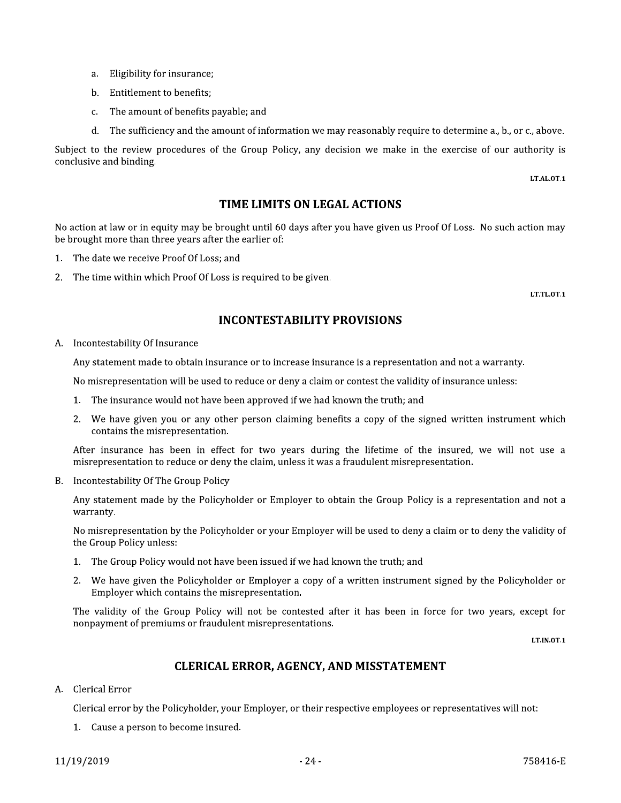- a. Eligibility for insurance;
- b. Entitlement to benefits:
- c. The amount of benefits payable; and
- d. The sufficiency and the amount of information we may reasonably require to determine a., b., or c., above.

Subject to the review procedures of the Group Policy, any decision we make in the exercise of our authority is conclusive and binding.

LT.AL.OT.1

# TIME LIMITS ON LEGAL ACTIONS

No action at law or in equity may be brought until 60 days after you have given us Proof Of Loss. No such action may be brought more than three years after the earlier of:

- 1. The date we receive Proof Of Loss; and
- 2. The time within which Proof Of Loss is required to be given.

LT.TL.OT.1

# **INCONTESTABILITY PROVISIONS**

A. Incontestability Of Insurance

Any statement made to obtain insurance or to increase insurance is a representation and not a warranty.

No misrepresentation will be used to reduce or deny a claim or contest the validity of insurance unless:

- 1. The insurance would not have been approved if we had known the truth; and
- 2. We have given you or any other person claiming benefits a copy of the signed written instrument which contains the misrepresentation.

After insurance has been in effect for two years during the lifetime of the insured, we will not use a misrepresentation to reduce or deny the claim, unless it was a fraudulent misrepresentation.

B. Incontestability Of The Group Policy

Any statement made by the Policyholder or Employer to obtain the Group Policy is a representation and not a warranty.

No misrepresentation by the Policyholder or your Employer will be used to deny a claim or to deny the validity of the Group Policy unless:

- 1. The Group Policy would not have been issued if we had known the truth; and
- We have given the Policyholder or Employer a copy of a written instrument signed by the Policyholder or 2. Employer which contains the misrepresentation.

The validity of the Group Policy will not be contested after it has been in force for two years, except for nonpayment of premiums or fraudulent misrepresentations.

LT.IN.OT.1

# **CLERICAL ERROR, AGENCY, AND MISSTATEMENT**

A. Clerical Error

Clerical error by the Policyholder, your Employer, or their respective employees or representatives will not:

1. Cause a person to become insured.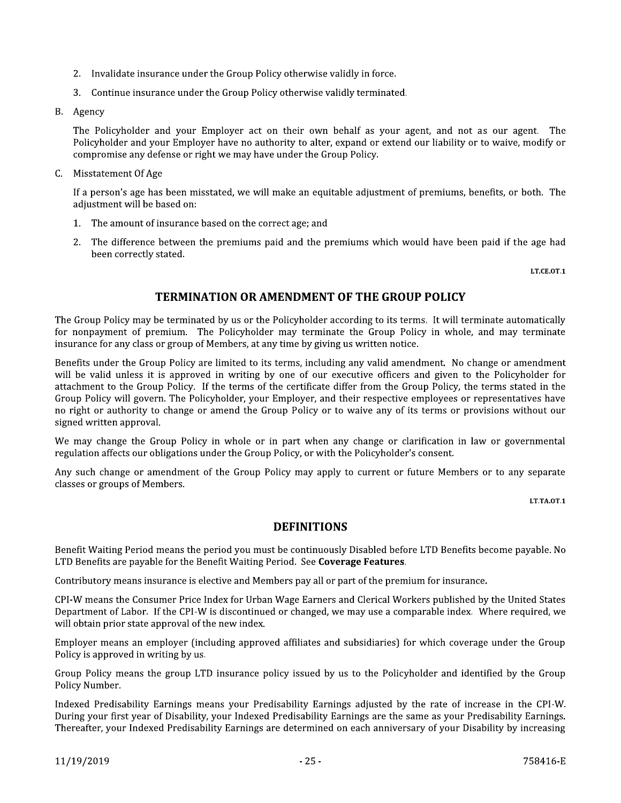- 2. Invalidate insurance under the Group Policy otherwise validly in force.
- 3. Continue insurance under the Group Policy otherwise validly terminated.
- B. Agency

The Policyholder and your Employer act on their own behalf as your agent, and not as our agent. The Policyholder and your Employer have no authority to alter, expand or extend our liability or to waive, modify or compromise any defense or right we may have under the Group Policy.

C. Misstatement Of Age

If a person's age has been misstated, we will make an equitable adjustment of premiums, benefits, or both. The adjustment will be based on:

- 1. The amount of insurance based on the correct age; and
- 2. The difference between the premiums paid and the premiums which would have been paid if the age had been correctly stated.

LT.CE.OT.1

# **TERMINATION OR AMENDMENT OF THE GROUP POLICY**

The Group Policy may be terminated by us or the Policyholder according to its terms. It will terminate automatically for nonpayment of premium. The Policyholder may terminate the Group Policy in whole, and may terminate insurance for any class or group of Members, at any time by giving us written notice.

Benefits under the Group Policy are limited to its terms, including any valid amendment. No change or amendment will be valid unless it is approved in writing by one of our executive officers and given to the Policyholder for attachment to the Group Policy. If the terms of the certificate differ from the Group Policy, the terms stated in the Group Policy will govern. The Policyholder, your Employer, and their respective employees or representatives have no right or authority to change or amend the Group Policy or to waive any of its terms or provisions without our signed written approval.

We may change the Group Policy in whole or in part when any change or clarification in law or governmental regulation affects our obligations under the Group Policy, or with the Policyholder's consent.

Any such change or amendment of the Group Policy may apply to current or future Members or to any separate classes or groups of Members.

LT.TA.OT.1

# **DEFINITIONS**

Benefit Waiting Period means the period you must be continuously Disabled before LTD Benefits become payable. No LTD Benefits are payable for the Benefit Waiting Period. See Coverage Features.

Contributory means insurance is elective and Members pay all or part of the premium for insurance.

CPI-W means the Consumer Price Index for Urban Wage Earners and Clerical Workers published by the United States Department of Labor. If the CPI-W is discontinued or changed, we may use a comparable index. Where required, we will obtain prior state approval of the new index.

Employer means an employer (including approved affiliates and subsidiaries) for which coverage under the Group Policy is approved in writing by us.

Group Policy means the group LTD insurance policy issued by us to the Policyholder and identified by the Group Policy Number.

Indexed Predisability Earnings means your Predisability Earnings adjusted by the rate of increase in the CPI-W. During your first year of Disability, your Indexed Predisability Earnings are the same as your Predisability Earnings. Thereafter, your Indexed Predisability Earnings are determined on each anniversary of your Disability by increasing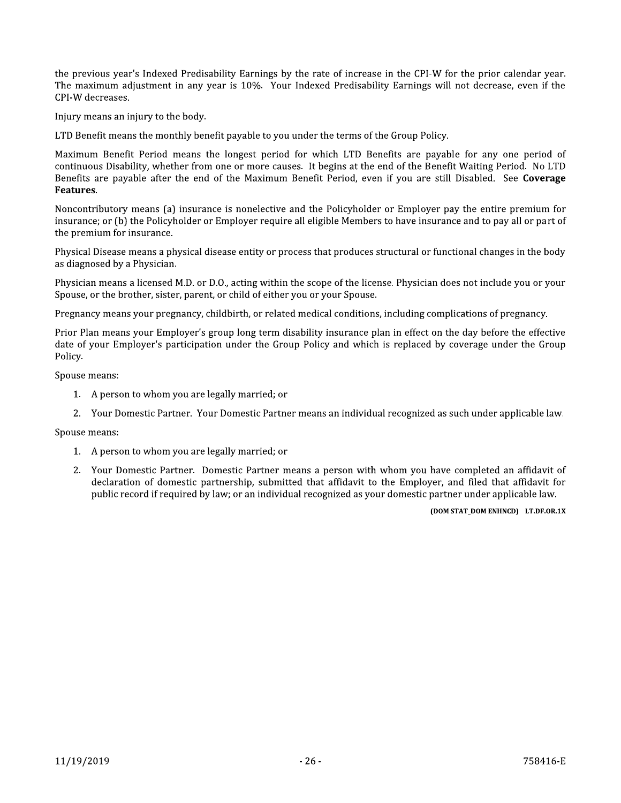the previous year's Indexed Predisability Earnings by the rate of increase in the CPI-W for the prior calendar year. The maximum adjustment in any year is 10%. Your Indexed Predisability Earnings will not decrease, even if the CPI-W decreases.

Injury means an injury to the body.

LTD Benefit means the monthly benefit payable to you under the terms of the Group Policy.

Maximum Benefit Period means the longest period for which LTD Benefits are payable for any one period of continuous Disability, whether from one or more causes. It begins at the end of the Benefit Waiting Period. No LTD Benefits are payable after the end of the Maximum Benefit Period, even if you are still Disabled. See Coverage Features.

Noncontributory means (a) insurance is nonelective and the Policyholder or Employer pay the entire premium for insurance; or (b) the Policyholder or Employer require all eligible Members to have insurance and to pay all or part of the premium for insurance.

Physical Disease means a physical disease entity or process that produces structural or functional changes in the body as diagnosed by a Physician.

Physician means a licensed M.D. or D.O., acting within the scope of the license. Physician does not include you or your Spouse, or the brother, sister, parent, or child of either you or your Spouse.

Pregnancy means your pregnancy, childbirth, or related medical conditions, including complications of pregnancy.

Prior Plan means your Employer's group long term disability insurance plan in effect on the day before the effective date of your Employer's participation under the Group Policy and which is replaced by coverage under the Group Policy.

Spouse means:

- 1. A person to whom you are legally married; or
- 2. Your Domestic Partner. Your Domestic Partner means an individual recognized as such under applicable law.

Spouse means:

- 1. A person to whom you are legally married; or
- 2. Your Domestic Partner. Domestic Partner means a person with whom you have completed an affidavit of declaration of domestic partnership, submitted that affidavit to the Employer, and filed that affidavit for public record if required by law; or an individual recognized as your domestic partner under applicable law.

#### (DOM STAT\_DOM ENHNCD) LT.DF.OR.1X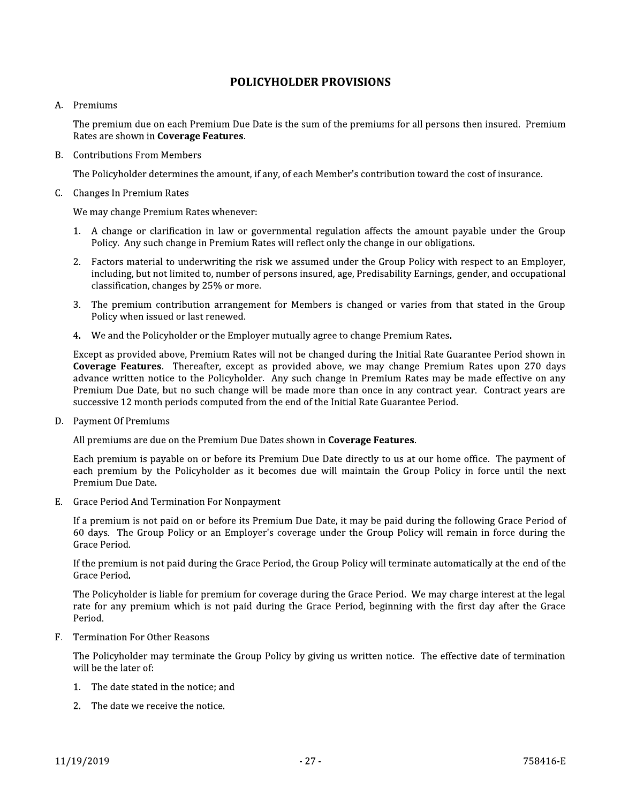# **POLICYHOLDER PROVISIONS**

#### A. Premiums

The premium due on each Premium Due Date is the sum of the premiums for all persons then insured. Premium Rates are shown in Coverage Features.

#### **B.** Contributions From Members

The Policyholder determines the amount, if any, of each Member's contribution toward the cost of insurance.

#### C. Changes In Premium Rates

We may change Premium Rates whenever:

- 1. A change or clarification in law or governmental regulation affects the amount payable under the Group Policy. Any such change in Premium Rates will reflect only the change in our obligations.
- 2. Factors material to underwriting the risk we assumed under the Group Policy with respect to an Employer, including, but not limited to, number of persons insured, age, Predisability Earnings, gender, and occupational classification, changes by 25% or more.
- 3. The premium contribution arrangement for Members is changed or varies from that stated in the Group Policy when issued or last renewed.
- 4. We and the Policyholder or the Employer mutually agree to change Premium Rates.

Except as provided above, Premium Rates will not be changed during the Initial Rate Guarantee Period shown in Coverage Features. Thereafter, except as provided above, we may change Premium Rates upon 270 days advance written notice to the Policyholder. Any such change in Premium Rates may be made effective on any Premium Due Date, but no such change will be made more than once in any contract year. Contract years are successive 12 month periods computed from the end of the Initial Rate Guarantee Period.

D. Payment Of Premiums

All premiums are due on the Premium Due Dates shown in Coverage Features.

Each premium is payable on or before its Premium Due Date directly to us at our home office. The payment of each premium by the Policyholder as it becomes due will maintain the Group Policy in force until the next Premium Due Date.

E. Grace Period And Termination For Nonpayment

If a premium is not paid on or before its Premium Due Date, it may be paid during the following Grace Period of 60 days. The Group Policy or an Employer's coverage under the Group Policy will remain in force during the Grace Period.

If the premium is not paid during the Grace Period, the Group Policy will terminate automatically at the end of the Grace Period.

The Policyholder is liable for premium for coverage during the Grace Period. We may charge interest at the legal rate for any premium which is not paid during the Grace Period, beginning with the first day after the Grace Period.

F. Termination For Other Reasons

The Policyholder may terminate the Group Policy by giving us written notice. The effective date of termination will be the later of:

- 1. The date stated in the notice; and
- 2. The date we receive the notice.